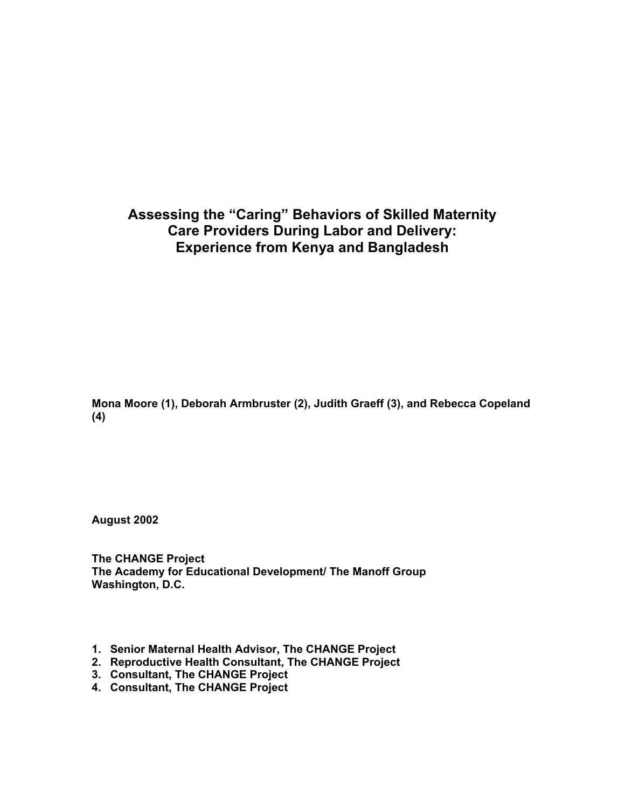# **Assessing the "Caring" Behaviors of Skilled Maternity Care Providers During Labor and Delivery: Experience from Kenya and Bangladesh**

**Mona Moore (1), Deborah Armbruster (2), Judith Graeff (3), and Rebecca Copeland (4)** 

**August 2002** 

**The CHANGE Project The Academy for Educational Development/ The Manoff Group Washington, D.C.** 

- **1. Senior Maternal Health Advisor, The CHANGE Project**
- **2. Reproductive Health Consultant, The CHANGE Project**
- **3. Consultant, The CHANGE Project**
- **4. Consultant, The CHANGE Project**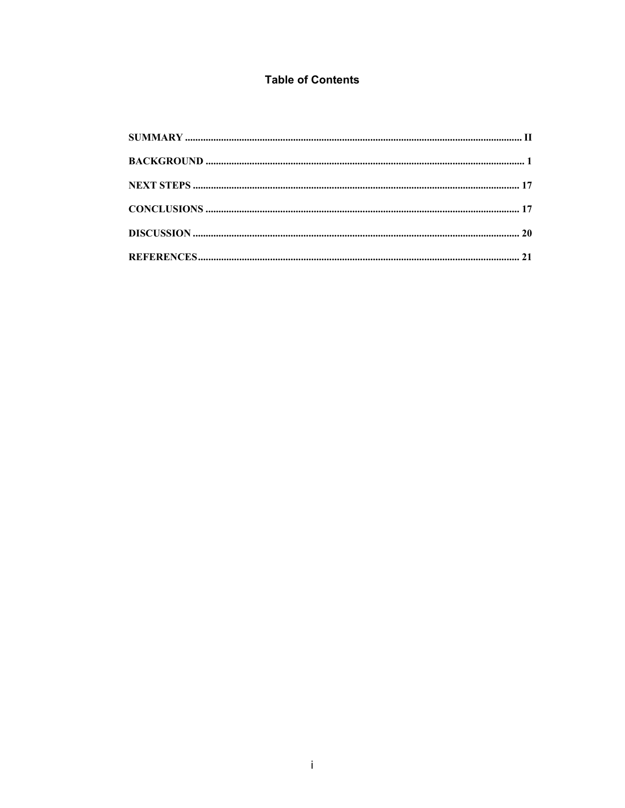# **Table of Contents**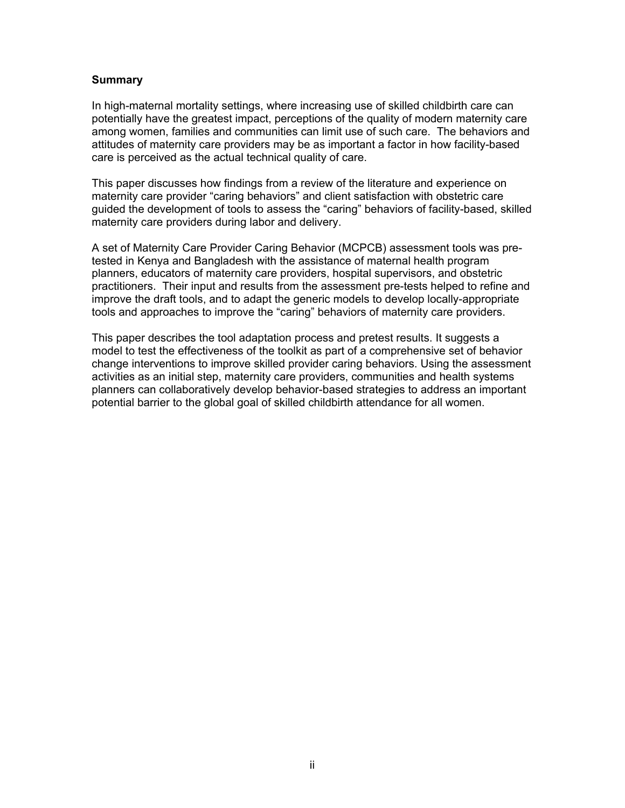#### <span id="page-2-0"></span>**Summary**

In high-maternal mortality settings, where increasing use of skilled childbirth care can potentially have the greatest impact, perceptions of the quality of modern maternity care among women, families and communities can limit use of such care. The behaviors and attitudes of maternity care providers may be as important a factor in how facility-based care is perceived as the actual technical quality of care.

This paper discusses how findings from a review of the literature and experience on maternity care provider "caring behaviors" and client satisfaction with obstetric care guided the development of tools to assess the "caring" behaviors of facility-based, skilled maternity care providers during labor and delivery.

A set of Maternity Care Provider Caring Behavior (MCPCB) assessment tools was pretested in Kenya and Bangladesh with the assistance of maternal health program planners, educators of maternity care providers, hospital supervisors, and obstetric practitioners. Their input and results from the assessment pre-tests helped to refine and improve the draft tools, and to adapt the generic models to develop locally-appropriate tools and approaches to improve the "caring" behaviors of maternity care providers.

This paper describes the tool adaptation process and pretest results. It suggests a model to test the effectiveness of the toolkit as part of a comprehensive set of behavior change interventions to improve skilled provider caring behaviors. Using the assessment activities as an initial step, maternity care providers, communities and health systems planners can collaboratively develop behavior-based strategies to address an important potential barrier to the global goal of skilled childbirth attendance for all women.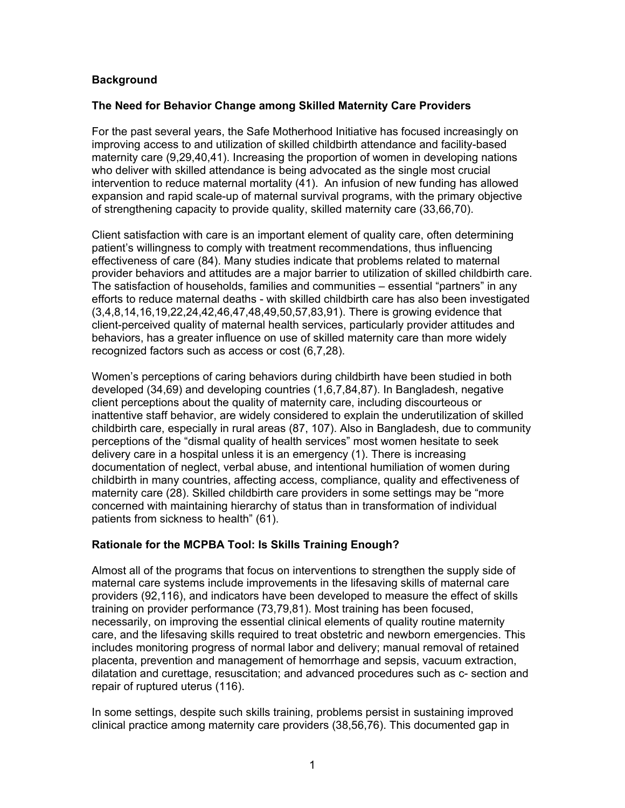# <span id="page-3-0"></span>**Background**

#### **The Need for Behavior Change among Skilled Maternity Care Providers**

For the past several years, the Safe Motherhood Initiative has focused increasingly on improving access to and utilization of skilled childbirth attendance and facility-based maternity care (9,29,40,41). Increasing the proportion of women in developing nations who deliver with skilled attendance is being advocated as the single most crucial intervention to reduce maternal mortality (41). An infusion of new funding has allowed expansion and rapid scale-up of maternal survival programs, with the primary objective of strengthening capacity to provide quality, skilled maternity care (33,66,70).

Client satisfaction with care is an important element of quality care, often determining patient's willingness to comply with treatment recommendations, thus influencing effectiveness of care (84). Many studies indicate that problems related to maternal provider behaviors and attitudes are a major barrier to utilization of skilled childbirth care. The satisfaction of households, families and communities – essential "partners" in any efforts to reduce maternal deaths - with skilled childbirth care has also been investigated (3,4,8,14,16,19,22,24,42,46,47,48,49,50,57,83,91). There is growing evidence that client-perceived quality of maternal health services, particularly provider attitudes and behaviors, has a greater influence on use of skilled maternity care than more widely recognized factors such as access or cost (6,7,28).

Women's perceptions of caring behaviors during childbirth have been studied in both developed (34,69) and developing countries (1,6,7,84,87). In Bangladesh, negative client perceptions about the quality of maternity care, including discourteous or inattentive staff behavior, are widely considered to explain the underutilization of skilled childbirth care, especially in rural areas (87, 107). Also in Bangladesh, due to community perceptions of the "dismal quality of health services" most women hesitate to seek delivery care in a hospital unless it is an emergency (1). There is increasing documentation of neglect, verbal abuse, and intentional humiliation of women during childbirth in many countries, affecting access, compliance, quality and effectiveness of maternity care (28). Skilled childbirth care providers in some settings may be "more concerned with maintaining hierarchy of status than in transformation of individual patients from sickness to health" (61).

#### **Rationale for the MCPBA Tool: Is Skills Training Enough?**

Almost all of the programs that focus on interventions to strengthen the supply side of maternal care systems include improvements in the lifesaving skills of maternal care providers (92,116), and indicators have been developed to measure the effect of skills training on provider performance (73,79,81). Most training has been focused, necessarily, on improving the essential clinical elements of quality routine maternity care, and the lifesaving skills required to treat obstetric and newborn emergencies. This includes monitoring progress of normal labor and delivery; manual removal of retained placenta, prevention and management of hemorrhage and sepsis, vacuum extraction, dilatation and curettage, resuscitation; and advanced procedures such as c- section and repair of ruptured uterus (116).

In some settings, despite such skills training, problems persist in sustaining improved clinical practice among maternity care providers (38,56,76). This documented gap in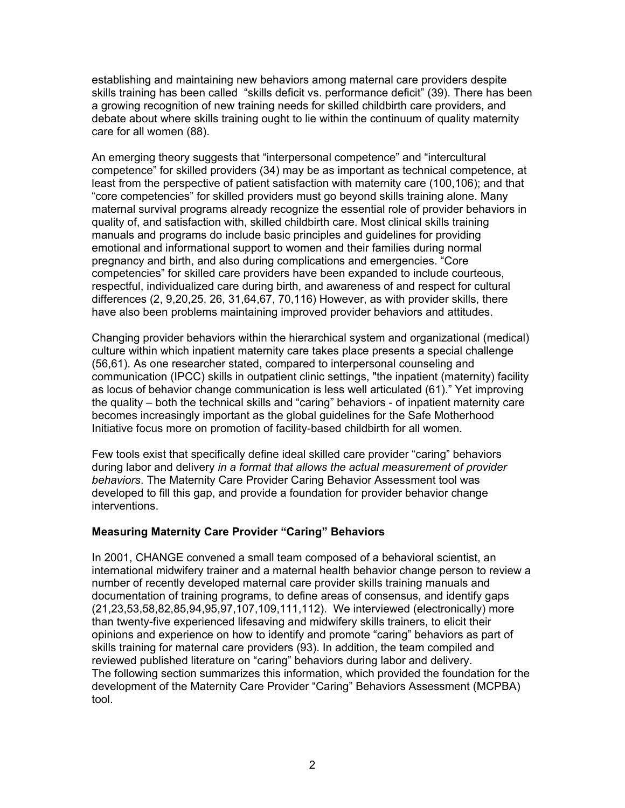establishing and maintaining new behaviors among maternal care providers despite skills training has been called "skills deficit vs. performance deficit" (39). There has been a growing recognition of new training needs for skilled childbirth care providers, and debate about where skills training ought to lie within the continuum of quality maternity care for all women (88).

An emerging theory suggests that "interpersonal competence" and "intercultural competence" for skilled providers (34) may be as important as technical competence, at least from the perspective of patient satisfaction with maternity care (100,106); and that "core competencies" for skilled providers must go beyond skills training alone. Many maternal survival programs already recognize the essential role of provider behaviors in quality of, and satisfaction with, skilled childbirth care. Most clinical skills training manuals and programs do include basic principles and guidelines for providing emotional and informational support to women and their families during normal pregnancy and birth, and also during complications and emergencies. "Core competencies" for skilled care providers have been expanded to include courteous, respectful, individualized care during birth, and awareness of and respect for cultural differences (2, 9,20,25, 26, 31,64,67, 70,116) However, as with provider skills, there have also been problems maintaining improved provider behaviors and attitudes.

Changing provider behaviors within the hierarchical system and organizational (medical) culture within which inpatient maternity care takes place presents a special challenge (56,61). As one researcher stated, compared to interpersonal counseling and communication (IPCC) skills in outpatient clinic settings, "the inpatient (maternity) facility as locus of behavior change communication is less well articulated (61)." Yet improving the quality – both the technical skills and "caring" behaviors - of inpatient maternity care becomes increasingly important as the global guidelines for the Safe Motherhood Initiative focus more on promotion of facility-based childbirth for all women.

Few tools exist that specifically define ideal skilled care provider "caring" behaviors during labor and delivery *in a format that allows the actual measurement of provider behaviors*. The Maternity Care Provider Caring Behavior Assessment tool was developed to fill this gap, and provide a foundation for provider behavior change interventions.

#### **Measuring Maternity Care Provider "Caring" Behaviors**

In 2001, CHANGE convened a small team composed of a behavioral scientist, an international midwifery trainer and a maternal health behavior change person to review a number of recently developed maternal care provider skills training manuals and documentation of training programs, to define areas of consensus, and identify gaps (21,23,53,58,82,85,94,95,97,107,109,111,112). We interviewed (electronically) more than twenty-five experienced lifesaving and midwifery skills trainers, to elicit their opinions and experience on how to identify and promote "caring" behaviors as part of skills training for maternal care providers (93). In addition, the team compiled and reviewed published literature on "caring" behaviors during labor and delivery. The following section summarizes this information, which provided the foundation for the development of the Maternity Care Provider "Caring" Behaviors Assessment (MCPBA) tool.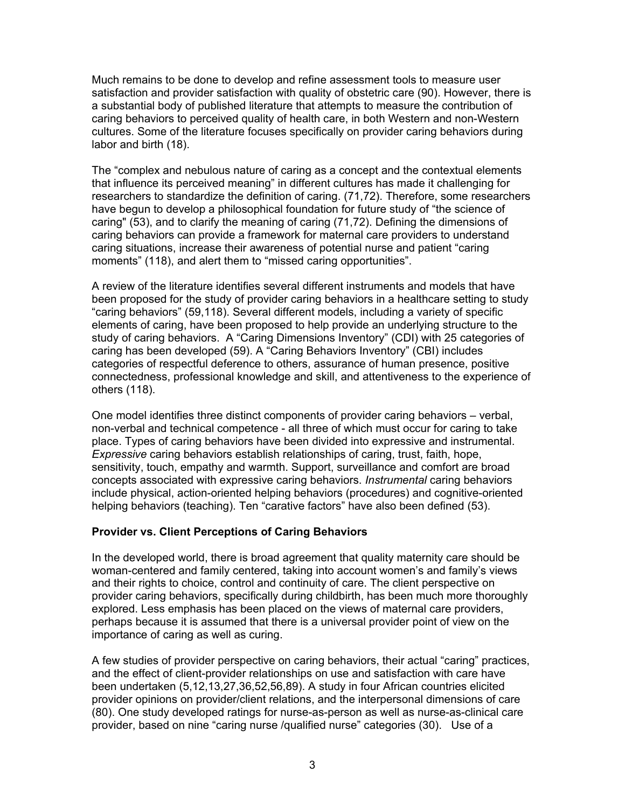Much remains to be done to develop and refine assessment tools to measure user satisfaction and provider satisfaction with quality of obstetric care (90). However, there is a substantial body of published literature that attempts to measure the contribution of caring behaviors to perceived quality of health care, in both Western and non-Western cultures. Some of the literature focuses specifically on provider caring behaviors during labor and birth (18).

The "complex and nebulous nature of caring as a concept and the contextual elements that influence its perceived meaning" in different cultures has made it challenging for researchers to standardize the definition of caring. (71,72). Therefore, some researchers have begun to develop a philosophical foundation for future study of "the science of caring" (53), and to clarify the meaning of caring (71,72). Defining the dimensions of caring behaviors can provide a framework for maternal care providers to understand caring situations, increase their awareness of potential nurse and patient "caring moments" (118), and alert them to "missed caring opportunities".

A review of the literature identifies several different instruments and models that have been proposed for the study of provider caring behaviors in a healthcare setting to study "caring behaviors" (59,118). Several different models, including a variety of specific elements of caring, have been proposed to help provide an underlying structure to the study of caring behaviors. A "Caring Dimensions Inventory" (CDI) with 25 categories of caring has been developed (59). A "Caring Behaviors Inventory" (CBI) includes categories of respectful deference to others, assurance of human presence, positive connectedness, professional knowledge and skill, and attentiveness to the experience of others (118).

One model identifies three distinct components of provider caring behaviors – verbal, non-verbal and technical competence - all three of which must occur for caring to take place. Types of caring behaviors have been divided into expressive and instrumental. *Expressive* caring behaviors establish relationships of caring, trust, faith, hope, sensitivity, touch, empathy and warmth. Support, surveillance and comfort are broad concepts associated with expressive caring behaviors. *Instrumental* caring behaviors include physical, action-oriented helping behaviors (procedures) and cognitive-oriented helping behaviors (teaching). Ten "carative factors" have also been defined (53).

#### **Provider vs. Client Perceptions of Caring Behaviors**

In the developed world, there is broad agreement that quality maternity care should be woman-centered and family centered, taking into account women's and family's views and their rights to choice, control and continuity of care. The client perspective on provider caring behaviors, specifically during childbirth, has been much more thoroughly explored. Less emphasis has been placed on the views of maternal care providers, perhaps because it is assumed that there is a universal provider point of view on the importance of caring as well as curing.

A few studies of provider perspective on caring behaviors, their actual "caring" practices, and the effect of client-provider relationships on use and satisfaction with care have been undertaken (5,12,13,27,36,52,56,89). A study in four African countries elicited provider opinions on provider/client relations, and the interpersonal dimensions of care (80). One study developed ratings for nurse-as-person as well as nurse-as-clinical care provider, based on nine "caring nurse /qualified nurse" categories (30). Use of a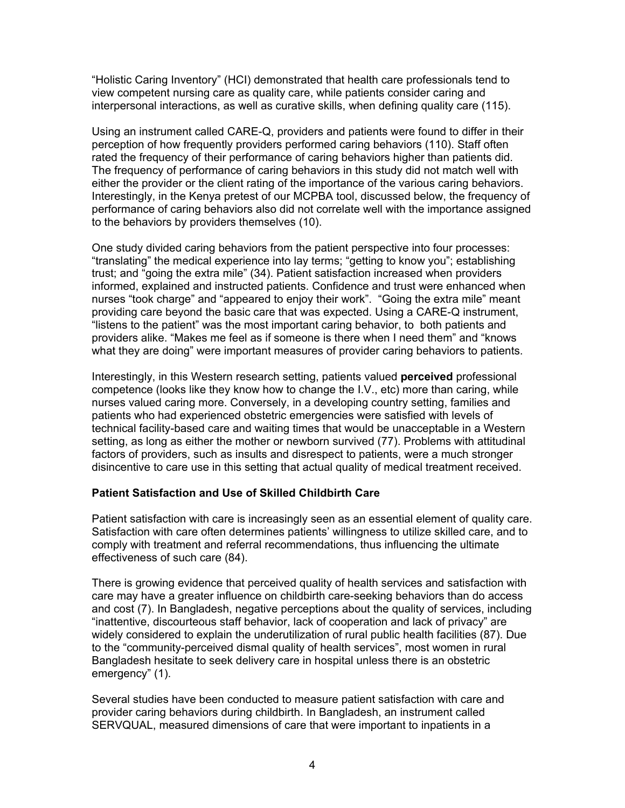"Holistic Caring Inventory" (HCI) demonstrated that health care professionals tend to view competent nursing care as quality care, while patients consider caring and interpersonal interactions, as well as curative skills, when defining quality care (115).

Using an instrument called CARE-Q, providers and patients were found to differ in their perception of how frequently providers performed caring behaviors (110). Staff often rated the frequency of their performance of caring behaviors higher than patients did. The frequency of performance of caring behaviors in this study did not match well with either the provider or the client rating of the importance of the various caring behaviors. Interestingly, in the Kenya pretest of our MCPBA tool, discussed below, the frequency of performance of caring behaviors also did not correlate well with the importance assigned to the behaviors by providers themselves (10).

One study divided caring behaviors from the patient perspective into four processes: "translating" the medical experience into lay terms; "getting to know you"; establishing trust; and "going the extra mile" (34). Patient satisfaction increased when providers informed, explained and instructed patients. Confidence and trust were enhanced when nurses "took charge" and "appeared to enjoy their work". "Going the extra mile" meant providing care beyond the basic care that was expected. Using a CARE-Q instrument, "listens to the patient" was the most important caring behavior, to both patients and providers alike. "Makes me feel as if someone is there when I need them" and "knows what they are doing" were important measures of provider caring behaviors to patients.

Interestingly, in this Western research setting, patients valued **perceived** professional competence (looks like they know how to change the I.V., etc) more than caring, while nurses valued caring more. Conversely, in a developing country setting, families and patients who had experienced obstetric emergencies were satisfied with levels of technical facility-based care and waiting times that would be unacceptable in a Western setting, as long as either the mother or newborn survived (77). Problems with attitudinal factors of providers, such as insults and disrespect to patients, were a much stronger disincentive to care use in this setting that actual quality of medical treatment received.

#### **Patient Satisfaction and Use of Skilled Childbirth Care**

Patient satisfaction with care is increasingly seen as an essential element of quality care. Satisfaction with care often determines patients' willingness to utilize skilled care, and to comply with treatment and referral recommendations, thus influencing the ultimate effectiveness of such care (84).

There is growing evidence that perceived quality of health services and satisfaction with care may have a greater influence on childbirth care-seeking behaviors than do access and cost (7). In Bangladesh, negative perceptions about the quality of services, including "inattentive, discourteous staff behavior, lack of cooperation and lack of privacy" are widely considered to explain the underutilization of rural public health facilities (87). Due to the "community-perceived dismal quality of health services", most women in rural Bangladesh hesitate to seek delivery care in hospital unless there is an obstetric emergency" (1).

Several studies have been conducted to measure patient satisfaction with care and provider caring behaviors during childbirth. In Bangladesh, an instrument called SERVQUAL, measured dimensions of care that were important to inpatients in a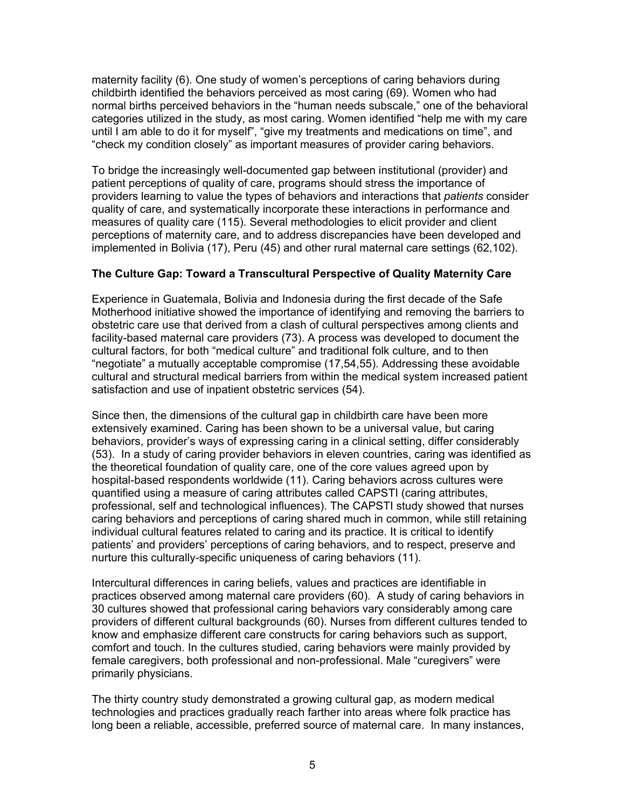maternity facility (6). One study of women's perceptions of caring behaviors during childbirth identified the behaviors perceived as most caring (69). Women who had normal births perceived behaviors in the "human needs subscale," one of the behavioral categories utilized in the study, as most caring. Women identified "help me with my care until I am able to do it for myself", "give my treatments and medications on time", and "check my condition closely" as important measures of provider caring behaviors.

To bridge the increasingly well-documented gap between institutional (provider) and patient perceptions of quality of care, programs should stress the importance of providers learning to value the types of behaviors and interactions that *patients* consider quality of care, and systematically incorporate these interactions in performance and measures of quality care (115). Several methodologies to elicit provider and client perceptions of maternity care, and to address discrepancies have been developed and implemented in Bolivia (17), Peru (45) and other rural maternal care settings (62,102).

#### **The Culture Gap: Toward a Transcultural Perspective of Quality Maternity Care**

Experience in Guatemala, Bolivia and Indonesia during the first decade of the Safe Motherhood initiative showed the importance of identifying and removing the barriers to obstetric care use that derived from a clash of cultural perspectives among clients and facility-based maternal care providers (73). A process was developed to document the cultural factors, for both "medical culture" and traditional folk culture, and to then "negotiate" a mutually acceptable compromise (17,54,55). Addressing these avoidable cultural and structural medical barriers from within the medical system increased patient satisfaction and use of inpatient obstetric services (54).

Since then, the dimensions of the cultural gap in childbirth care have been more extensively examined. Caring has been shown to be a universal value, but caring behaviors, provider's ways of expressing caring in a clinical setting, differ considerably (53). In a study of caring provider behaviors in eleven countries, caring was identified as the theoretical foundation of quality care, one of the core values agreed upon by hospital-based respondents worldwide (11). Caring behaviors across cultures were quantified using a measure of caring attributes called CAPSTI (caring attributes, professional, self and technological influences). The CAPSTI study showed that nurses caring behaviors and perceptions of caring shared much in common, while still retaining individual cultural features related to caring and its practice. It is critical to identify patients' and providers' perceptions of caring behaviors, and to respect, preserve and nurture this culturally-specific uniqueness of caring behaviors (11).

Intercultural differences in caring beliefs, values and practices are identifiable in practices observed among maternal care providers (60). A study of caring behaviors in 30 cultures showed that professional caring behaviors vary considerably among care providers of different cultural backgrounds (60). Nurses from different cultures tended to know and emphasize different care constructs for caring behaviors such as support, comfort and touch. In the cultures studied, caring behaviors were mainly provided by female caregivers, both professional and non-professional. Male "curegivers" were primarily physicians.

The thirty country study demonstrated a growing cultural gap, as modern medical technologies and practices gradually reach farther into areas where folk practice has long been a reliable, accessible, preferred source of maternal care. In many instances,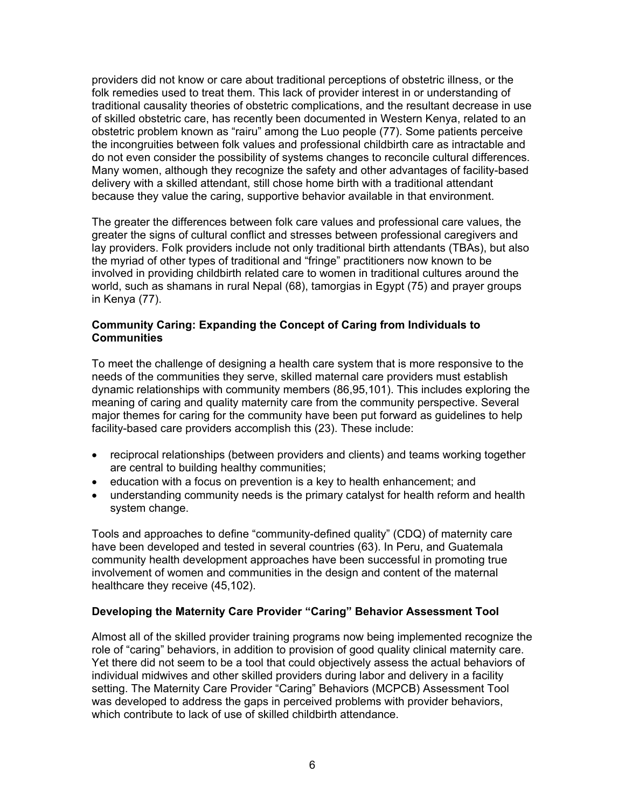providers did not know or care about traditional perceptions of obstetric illness, or the folk remedies used to treat them. This lack of provider interest in or understanding of traditional causality theories of obstetric complications, and the resultant decrease in use of skilled obstetric care, has recently been documented in Western Kenya, related to an obstetric problem known as "rairu" among the Luo people (77). Some patients perceive the incongruities between folk values and professional childbirth care as intractable and do not even consider the possibility of systems changes to reconcile cultural differences. Many women, although they recognize the safety and other advantages of facility-based delivery with a skilled attendant, still chose home birth with a traditional attendant because they value the caring, supportive behavior available in that environment.

The greater the differences between folk care values and professional care values, the greater the signs of cultural conflict and stresses between professional caregivers and lay providers. Folk providers include not only traditional birth attendants (TBAs), but also the myriad of other types of traditional and "fringe" practitioners now known to be involved in providing childbirth related care to women in traditional cultures around the world, such as shamans in rural Nepal (68), tamorgias in Egypt (75) and prayer groups in Kenya (77).

#### **Community Caring: Expanding the Concept of Caring from Individuals to Communities**

To meet the challenge of designing a health care system that is more responsive to the needs of the communities they serve, skilled maternal care providers must establish dynamic relationships with community members (86,95,101). This includes exploring the meaning of caring and quality maternity care from the community perspective. Several major themes for caring for the community have been put forward as guidelines to help facility-based care providers accomplish this (23). These include:

- reciprocal relationships (between providers and clients) and teams working together are central to building healthy communities;
- education with a focus on prevention is a key to health enhancement; and
- understanding community needs is the primary catalyst for health reform and health system change.

Tools and approaches to define "community-defined quality" (CDQ) of maternity care have been developed and tested in several countries (63). In Peru, and Guatemala community health development approaches have been successful in promoting true involvement of women and communities in the design and content of the maternal healthcare they receive (45,102).

#### **Developing the Maternity Care Provider "Caring" Behavior Assessment Tool**

Almost all of the skilled provider training programs now being implemented recognize the role of "caring" behaviors, in addition to provision of good quality clinical maternity care. Yet there did not seem to be a tool that could objectively assess the actual behaviors of individual midwives and other skilled providers during labor and delivery in a facility setting. The Maternity Care Provider "Caring" Behaviors (MCPCB) Assessment Tool was developed to address the gaps in perceived problems with provider behaviors, which contribute to lack of use of skilled childbirth attendance.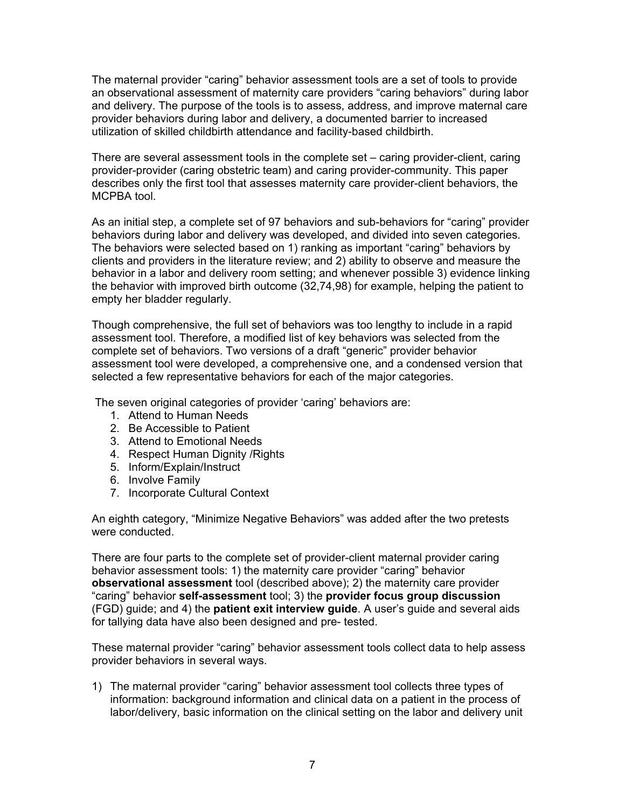The maternal provider "caring" behavior assessment tools are a set of tools to provide an observational assessment of maternity care providers "caring behaviors" during labor and delivery. The purpose of the tools is to assess, address, and improve maternal care provider behaviors during labor and delivery, a documented barrier to increased utilization of skilled childbirth attendance and facility-based childbirth.

There are several assessment tools in the complete set – caring provider-client, caring provider-provider (caring obstetric team) and caring provider-community. This paper describes only the first tool that assesses maternity care provider-client behaviors, the MCPBA tool.

As an initial step, a complete set of 97 behaviors and sub-behaviors for "caring" provider behaviors during labor and delivery was developed, and divided into seven categories. The behaviors were selected based on 1) ranking as important "caring" behaviors by clients and providers in the literature review; and 2) ability to observe and measure the behavior in a labor and delivery room setting; and whenever possible 3) evidence linking the behavior with improved birth outcome (32,74,98) for example, helping the patient to empty her bladder regularly.

Though comprehensive, the full set of behaviors was too lengthy to include in a rapid assessment tool. Therefore, a modified list of key behaviors was selected from the complete set of behaviors. Two versions of a draft "generic" provider behavior assessment tool were developed, a comprehensive one, and a condensed version that selected a few representative behaviors for each of the major categories.

The seven original categories of provider 'caring' behaviors are:

- 1. Attend to Human Needs
- 2. Be Accessible to Patient
- 3. Attend to Emotional Needs
- 4. Respect Human Dignity /Rights
- 5. Inform/Explain/Instruct
- 6. Involve Family
- 7. Incorporate Cultural Context

An eighth category, "Minimize Negative Behaviors" was added after the two pretests were conducted.

There are four parts to the complete set of provider-client maternal provider caring behavior assessment tools: 1) the maternity care provider "caring" behavior **observational assessment** tool (described above); 2) the maternity care provider "caring" behavior **self-assessment** tool; 3) the **provider focus group discussion** (FGD) guide; and 4) the **patient exit interview guide**. A user's guide and several aids for tallying data have also been designed and pre- tested.

These maternal provider "caring" behavior assessment tools collect data to help assess provider behaviors in several ways.

1) The maternal provider "caring" behavior assessment tool collects three types of information: background information and clinical data on a patient in the process of labor/delivery, basic information on the clinical setting on the labor and delivery unit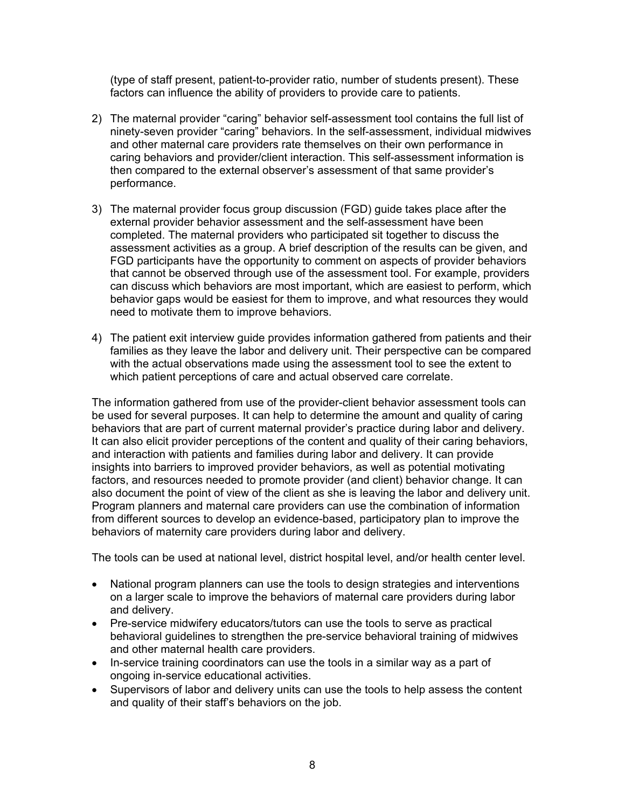(type of staff present, patient-to-provider ratio, number of students present). These factors can influence the ability of providers to provide care to patients.

- 2) The maternal provider "caring" behavior self-assessment tool contains the full list of ninety-seven provider "caring" behaviors. In the self-assessment, individual midwives and other maternal care providers rate themselves on their own performance in caring behaviors and provider/client interaction. This self-assessment information is then compared to the external observer's assessment of that same provider's performance.
- 3) The maternal provider focus group discussion (FGD) guide takes place after the external provider behavior assessment and the self-assessment have been completed. The maternal providers who participated sit together to discuss the assessment activities as a group. A brief description of the results can be given, and FGD participants have the opportunity to comment on aspects of provider behaviors that cannot be observed through use of the assessment tool. For example, providers can discuss which behaviors are most important, which are easiest to perform, which behavior gaps would be easiest for them to improve, and what resources they would need to motivate them to improve behaviors.
- 4) The patient exit interview guide provides information gathered from patients and their families as they leave the labor and delivery unit. Their perspective can be compared with the actual observations made using the assessment tool to see the extent to which patient perceptions of care and actual observed care correlate.

The information gathered from use of the provider-client behavior assessment tools can be used for several purposes. It can help to determine the amount and quality of caring behaviors that are part of current maternal provider's practice during labor and delivery. It can also elicit provider perceptions of the content and quality of their caring behaviors, and interaction with patients and families during labor and delivery. It can provide insights into barriers to improved provider behaviors, as well as potential motivating factors, and resources needed to promote provider (and client) behavior change. It can also document the point of view of the client as she is leaving the labor and delivery unit. Program planners and maternal care providers can use the combination of information from different sources to develop an evidence-based, participatory plan to improve the behaviors of maternity care providers during labor and delivery.

The tools can be used at national level, district hospital level, and/or health center level.

- National program planners can use the tools to design strategies and interventions on a larger scale to improve the behaviors of maternal care providers during labor and delivery.
- Pre-service midwifery educators/tutors can use the tools to serve as practical behavioral guidelines to strengthen the pre-service behavioral training of midwives and other maternal health care providers.
- In-service training coordinators can use the tools in a similar way as a part of ongoing in-service educational activities.
- Supervisors of labor and delivery units can use the tools to help assess the content and quality of their staff's behaviors on the job.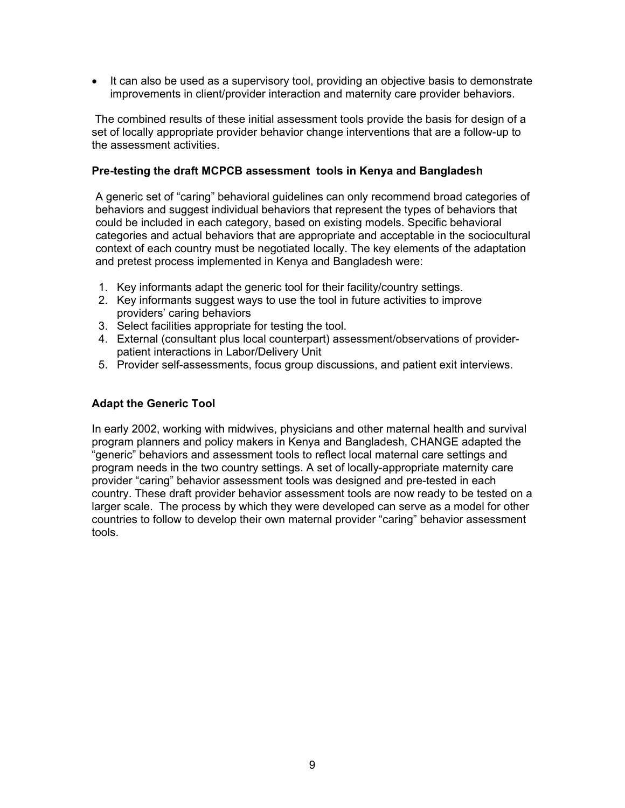• It can also be used as a supervisory tool, providing an objective basis to demonstrate improvements in client/provider interaction and maternity care provider behaviors.

 The combined results of these initial assessment tools provide the basis for design of a set of locally appropriate provider behavior change interventions that are a follow-up to the assessment activities.

#### **Pre-testing the draft MCPCB assessment tools in Kenya and Bangladesh**

A generic set of "caring" behavioral guidelines can only recommend broad categories of behaviors and suggest individual behaviors that represent the types of behaviors that could be included in each category, based on existing models. Specific behavioral categories and actual behaviors that are appropriate and acceptable in the sociocultural context of each country must be negotiated locally. The key elements of the adaptation and pretest process implemented in Kenya and Bangladesh were:

- 1. Key informants adapt the generic tool for their facility/country settings.
- 2. Key informants suggest ways to use the tool in future activities to improve providers' caring behaviors
- 3. Select facilities appropriate for testing the tool.
- 4. External (consultant plus local counterpart) assessment/observations of providerpatient interactions in Labor/Delivery Unit
- 5. Provider self-assessments, focus group discussions, and patient exit interviews.

#### **Adapt the Generic Tool**

In early 2002, working with midwives, physicians and other maternal health and survival program planners and policy makers in Kenya and Bangladesh, CHANGE adapted the "generic" behaviors and assessment tools to reflect local maternal care settings and program needs in the two country settings. A set of locally-appropriate maternity care provider "caring" behavior assessment tools was designed and pre-tested in each country. These draft provider behavior assessment tools are now ready to be tested on a larger scale. The process by which they were developed can serve as a model for other countries to follow to develop their own maternal provider "caring" behavior assessment tools.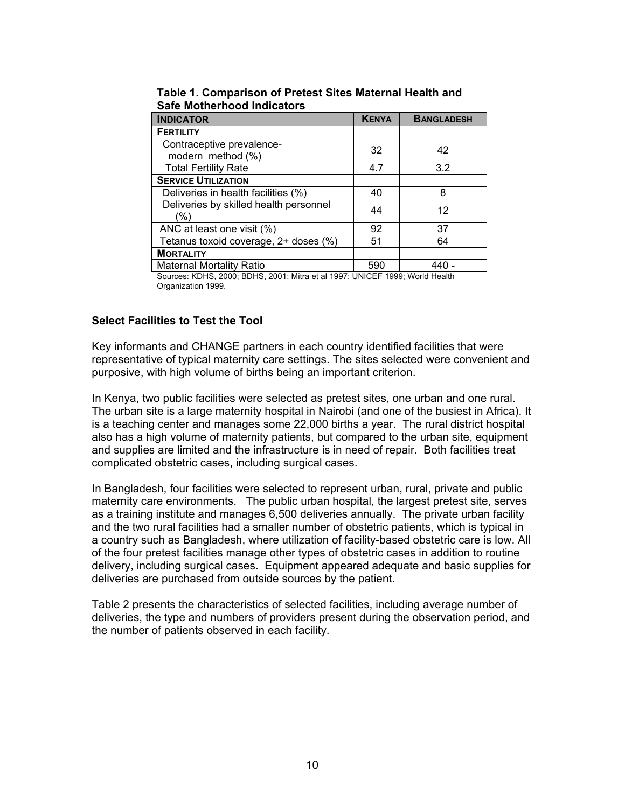| <b>INDICATOR</b>                               | <b>KENYA</b> | <b>BANGLADESH</b> |
|------------------------------------------------|--------------|-------------------|
| <b>FERTILITY</b>                               |              |                   |
| Contraceptive prevalence-<br>modern method (%) | 32           | 42                |
| <b>Total Fertility Rate</b>                    | 4.7          | 3.2               |
| <b>SERVICE UTILIZATION</b>                     |              |                   |
| Deliveries in health facilities (%)            | 40           | 8                 |
| Deliveries by skilled health personnel<br>'%)  | 44           | 12                |
| ANC at least one visit (%)                     | 92           | 37                |
| Tetanus toxoid coverage, 2+ doses (%)          | 51           | 64                |
| <b>MORTALITY</b>                               |              |                   |
| <b>Maternal Mortality Ratio</b>                | 590          |                   |
|                                                |              |                   |

**Table 1. Comparison of Pretest Sites Maternal Health and Safe Motherhood Indicators** 

Sources: KDHS, 2000; BDHS, 2001; Mitra et al 1997; UNICEF 1999; World Health Organization 1999.

# **Select Facilities to Test the Tool**

Key informants and CHANGE partners in each country identified facilities that were representative of typical maternity care settings. The sites selected were convenient and purposive, with high volume of births being an important criterion.

In Kenya, two public facilities were selected as pretest sites, one urban and one rural. The urban site is a large maternity hospital in Nairobi (and one of the busiest in Africa). It is a teaching center and manages some 22,000 births a year. The rural district hospital also has a high volume of maternity patients, but compared to the urban site, equipment and supplies are limited and the infrastructure is in need of repair. Both facilities treat complicated obstetric cases, including surgical cases.

In Bangladesh, four facilities were selected to represent urban, rural, private and public maternity care environments. The public urban hospital, the largest pretest site, serves as a training institute and manages 6,500 deliveries annually. The private urban facility and the two rural facilities had a smaller number of obstetric patients, which is typical in a country such as Bangladesh, where utilization of facility-based obstetric care is low. All of the four pretest facilities manage other types of obstetric cases in addition to routine delivery, including surgical cases. Equipment appeared adequate and basic supplies for deliveries are purchased from outside sources by the patient.

Table 2 presents the characteristics of selected facilities, including average number of deliveries, the type and numbers of providers present during the observation period, and the number of patients observed in each facility.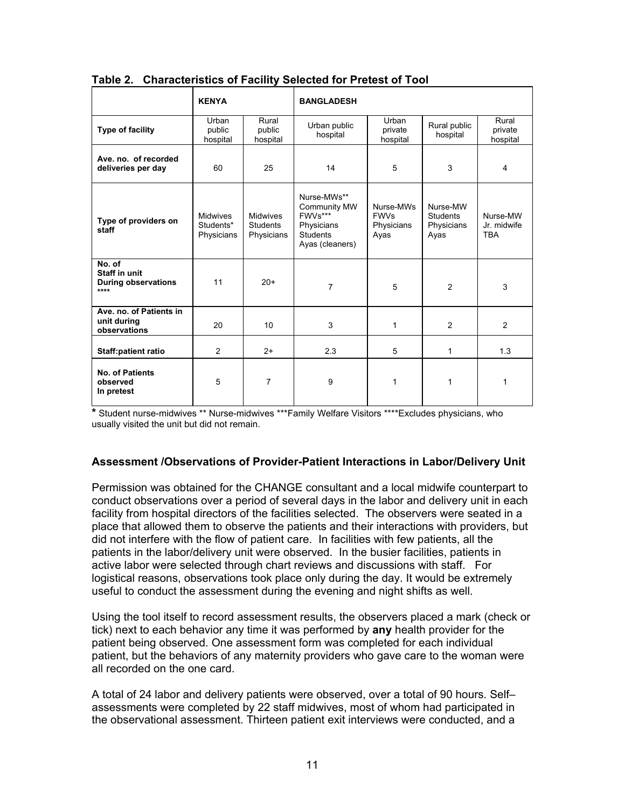|                                                               | <b>KENYA</b>                               |                                                  | <b>BANGLADESH</b>                                                                          |                                                |                                                   |                                       |
|---------------------------------------------------------------|--------------------------------------------|--------------------------------------------------|--------------------------------------------------------------------------------------------|------------------------------------------------|---------------------------------------------------|---------------------------------------|
| <b>Type of facility</b>                                       | Urban<br>public<br>hospital                | Rural<br>public<br>hospital                      | Urban public<br>hospital                                                                   | Urban<br>private<br>hospital                   | Rural public<br>hospital                          | Rural<br>private<br>hospital          |
| Ave. no. of recorded<br>deliveries per day                    | 60                                         | 25                                               | 14                                                                                         | 5                                              | 3                                                 | 4                                     |
| Type of providers on<br>staff                                 | <b>Midwives</b><br>Students*<br>Physicians | <b>Midwives</b><br><b>Students</b><br>Physicians | Nurse-MWs**<br>Community MW<br>FWVs***<br>Physicians<br><b>Students</b><br>Ayas (cleaners) | Nurse-MWs<br><b>FWVs</b><br>Physicians<br>Ayas | Nurse-MW<br><b>Students</b><br>Physicians<br>Ayas | Nurse-MW<br>Jr. midwife<br><b>TBA</b> |
| No. of<br>Staff in unit<br><b>During observations</b><br>**** | 11                                         | $20+$                                            | $\overline{7}$                                                                             | 5                                              | 2                                                 | 3                                     |
| Ave. no. of Patients in<br>unit during<br>observations        | 20                                         | 10                                               | 3                                                                                          | 1                                              | 2                                                 | $\overline{2}$                        |
| <b>Staff:patient ratio</b>                                    | $\overline{2}$                             | $2+$                                             | 2.3                                                                                        | 5                                              | 1                                                 | 1.3                                   |
| <b>No. of Patients</b><br>observed<br>In pretest              | 5                                          | 7                                                | 9                                                                                          | 1                                              | 1                                                 | 1                                     |

**Table 2. Characteristics of Facility Selected for Pretest of Tool** 

**\*** Student nurse-midwives \*\* Nurse-midwives \*\*\*Family Welfare Visitors \*\*\*\*Excludes physicians, who usually visited the unit but did not remain.

#### **Assessment /Observations of Provider-Patient Interactions in Labor/Delivery Unit**

Permission was obtained for the CHANGE consultant and a local midwife counterpart to conduct observations over a period of several days in the labor and delivery unit in each facility from hospital directors of the facilities selected. The observers were seated in a place that allowed them to observe the patients and their interactions with providers, but did not interfere with the flow of patient care. In facilities with few patients, all the patients in the labor/delivery unit were observed. In the busier facilities, patients in active labor were selected through chart reviews and discussions with staff.For logistical reasons, observations took place only during the day. It would be extremely useful to conduct the assessment during the evening and night shifts as well.

Using the tool itself to record assessment results, the observers placed a mark (check or tick) next to each behavior any time it was performed by **any** health provider for the patient being observed. One assessment form was completed for each individual patient, but the behaviors of any maternity providers who gave care to the woman were all recorded on the one card.

A total of 24 labor and delivery patients were observed, over a total of 90 hours. Self– assessments were completed by 22 staff midwives, most of whom had participated in the observational assessment. Thirteen patient exit interviews were conducted, and a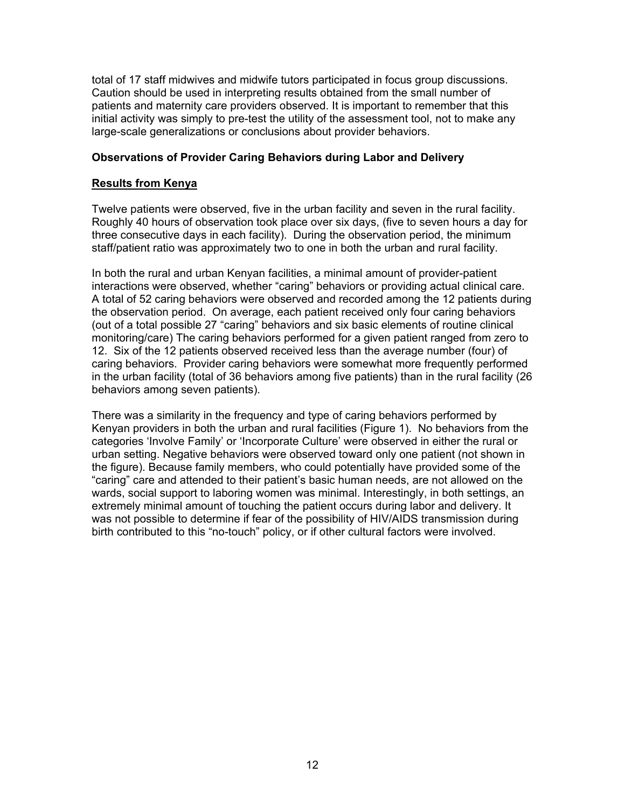total of 17 staff midwives and midwife tutors participated in focus group discussions. Caution should be used in interpreting results obtained from the small number of patients and maternity care providers observed. It is important to remember that this initial activity was simply to pre-test the utility of the assessment tool, not to make any large-scale generalizations or conclusions about provider behaviors.

#### **Observations of Provider Caring Behaviors during Labor and Delivery**

#### **Results from Kenya**

Twelve patients were observed, five in the urban facility and seven in the rural facility. Roughly 40 hours of observation took place over six days, (five to seven hours a day for three consecutive days in each facility). During the observation period, the minimum staff/patient ratio was approximately two to one in both the urban and rural facility.

In both the rural and urban Kenyan facilities, a minimal amount of provider-patient interactions were observed, whether "caring" behaviors or providing actual clinical care. A total of 52 caring behaviors were observed and recorded among the 12 patients during the observation period. On average, each patient received only four caring behaviors (out of a total possible 27 "caring" behaviors and six basic elements of routine clinical monitoring/care) The caring behaviors performed for a given patient ranged from zero to 12. Six of the 12 patients observed received less than the average number (four) of caring behaviors. Provider caring behaviors were somewhat more frequently performed in the urban facility (total of 36 behaviors among five patients) than in the rural facility (26 behaviors among seven patients).

There was a similarity in the frequency and type of caring behaviors performed by Kenyan providers in both the urban and rural facilities (Figure 1). No behaviors from the categories 'Involve Family' or 'Incorporate Culture' were observed in either the rural or urban setting. Negative behaviors were observed toward only one patient (not shown in the figure). Because family members, who could potentially have provided some of the "caring" care and attended to their patient's basic human needs, are not allowed on the wards, social support to laboring women was minimal. Interestingly, in both settings, an extremely minimal amount of touching the patient occurs during labor and delivery. It was not possible to determine if fear of the possibility of HIV/AIDS transmission during birth contributed to this "no-touch" policy, or if other cultural factors were involved.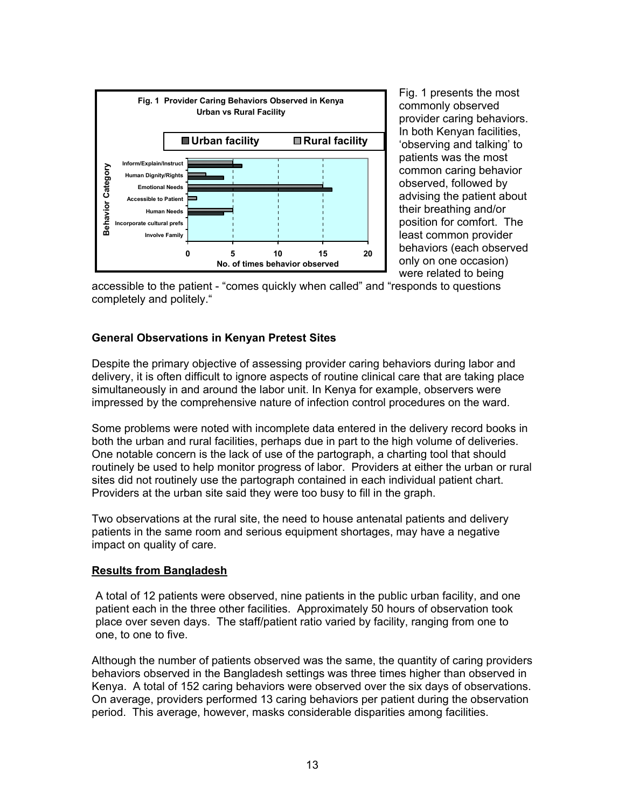

Fig. 1 presents the most commonly observed provider caring behaviors. In both Kenyan facilities, 'observing and talking' to patients was the most common caring behavior observed, followed by advising the patient about their breathing and/or position for comfort. The least common provider behaviors (each observed only on one occasion) were related to being

accessible to the patient - "comes quickly when called" and "responds to questions completely and politely."

#### **General Observations in Kenyan Pretest Sites**

Despite the primary objective of assessing provider caring behaviors during labor and delivery, it is often difficult to ignore aspects of routine clinical care that are taking place simultaneously in and around the labor unit. In Kenya for example, observers were impressed by the comprehensive nature of infection control procedures on the ward.

Some problems were noted with incomplete data entered in the delivery record books in both the urban and rural facilities, perhaps due in part to the high volume of deliveries. One notable concern is the lack of use of the partograph, a charting tool that should routinely be used to help monitor progress of labor. Providers at either the urban or rural sites did not routinely use the partograph contained in each individual patient chart. Providers at the urban site said they were too busy to fill in the graph.

Two observations at the rural site, the need to house antenatal patients and delivery patients in the same room and serious equipment shortages, may have a negative impact on quality of care.

#### **Results from Bangladesh**

A total of 12 patients were observed, nine patients in the public urban facility, and one patient each in the three other facilities. Approximately 50 hours of observation took place over seven days. The staff/patient ratio varied by facility, ranging from one to one, to one to five.

Although the number of patients observed was the same, the quantity of caring providers behaviors observed in the Bangladesh settings was three times higher than observed in Kenya. A total of 152 caring behaviors were observed over the six days of observations. On average, providers performed 13 caring behaviors per patient during the observation period. This average, however, masks considerable disparities among facilities.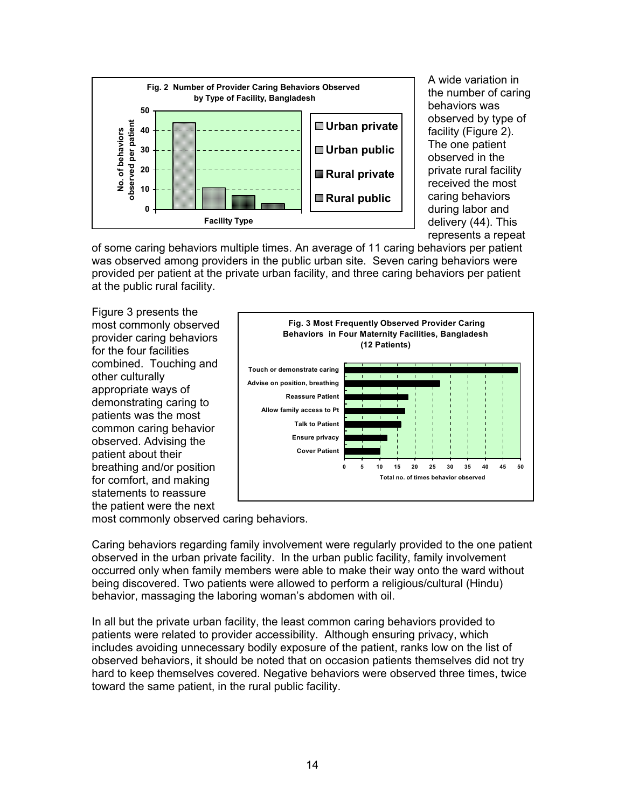

A wide variation in the number of caring behaviors was observed by type of facility (Figure 2). The one patient observed in the private rural facility received the most caring behaviors during labor and delivery (44). This represents a repeat

of some caring behaviors multiple times. An average of 11 caring behaviors per patient was observed among providers in the public urban site. Seven caring behaviors were provided per patient at the private urban facility, and three caring behaviors per patient at the public rural facility.

Figure 3 presents the most commonly observed provider caring behaviors for the four facilities combined. Touching and other culturally appropriate ways of demonstrating caring to patients was the most common caring behavior observed. Advising the patient about their breathing and/or position for comfort, and making statements to reassure the patient were the next



most commonly observed caring behaviors.

Caring behaviors regarding family involvement were regularly provided to the one patient observed in the urban private facility. In the urban public facility, family involvement occurred only when family members were able to make their way onto the ward without being discovered. Two patients were allowed to perform a religious/cultural (Hindu) behavior, massaging the laboring woman's abdomen with oil.

In all but the private urban facility, the least common caring behaviors provided to patients were related to provider accessibility. Although ensuring privacy, which includes avoiding unnecessary bodily exposure of the patient, ranks low on the list of observed behaviors, it should be noted that on occasion patients themselves did not try hard to keep themselves covered. Negative behaviors were observed three times, twice toward the same patient, in the rural public facility.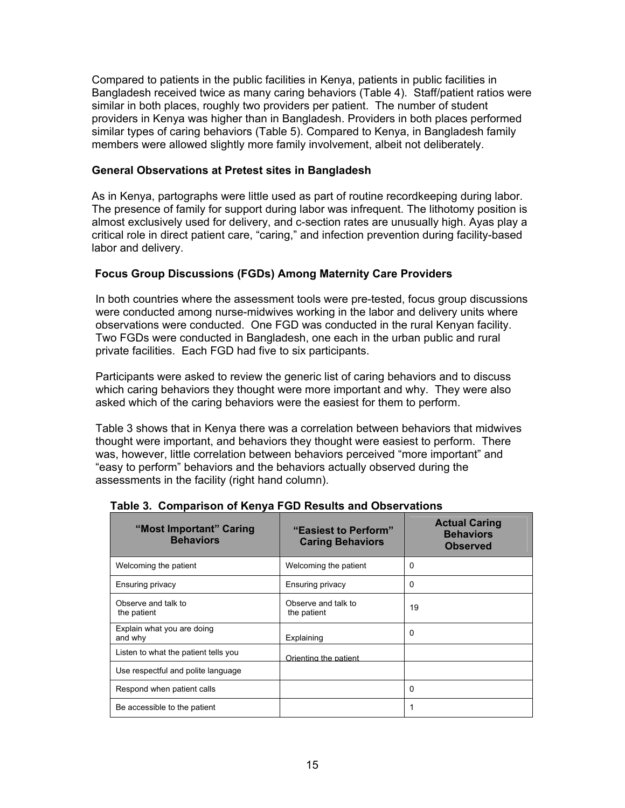Compared to patients in the public facilities in Kenya, patients in public facilities in Bangladesh received twice as many caring behaviors (Table 4). Staff/patient ratios were similar in both places, roughly two providers per patient. The number of student providers in Kenya was higher than in Bangladesh. Providers in both places performed similar types of caring behaviors (Table 5). Compared to Kenya, in Bangladesh family members were allowed slightly more family involvement, albeit not deliberately.

#### **General Observations at Pretest sites in Bangladesh**

As in Kenya, partographs were little used as part of routine recordkeeping during labor. The presence of family for support during labor was infrequent. The lithotomy position is almost exclusively used for delivery, and c-section rates are unusually high. Ayas play a critical role in direct patient care, "caring," and infection prevention during facility-based labor and delivery.

#### **Focus Group Discussions (FGDs) Among Maternity Care Providers**

In both countries where the assessment tools were pre-tested, focus group discussions were conducted among nurse-midwives working in the labor and delivery units where observations were conducted. One FGD was conducted in the rural Kenyan facility. Two FGDs were conducted in Bangladesh, one each in the urban public and rural private facilities. Each FGD had five to six participants.

Participants were asked to review the generic list of caring behaviors and to discuss which caring behaviors they thought were more important and why. They were also asked which of the caring behaviors were the easiest for them to perform.

Table 3 shows that in Kenya there was a correlation between behaviors that midwives thought were important, and behaviors they thought were easiest to perform. There was, however, little correlation between behaviors perceived "more important" and "easy to perform" behaviors and the behaviors actually observed during the assessments in the facility (right hand column).

| "Most Important" Caring<br><b>Behaviors</b> | "Easiest to Perform"<br><b>Caring Behaviors</b> | <b>Actual Caring</b><br><b>Behaviors</b><br><b>Observed</b> |
|---------------------------------------------|-------------------------------------------------|-------------------------------------------------------------|
| Welcoming the patient                       | Welcoming the patient                           | 0                                                           |
| Ensuring privacy                            | <b>Ensuring privacy</b>                         | 0                                                           |
| Observe and talk to<br>the patient          | Observe and talk to<br>the patient              | 19                                                          |
| Explain what you are doing<br>and why       | Explaining                                      | 0                                                           |
| Listen to what the patient tells you        | Orienting the patient                           |                                                             |
| Use respectful and polite language          |                                                 |                                                             |
| Respond when patient calls                  |                                                 | 0                                                           |
| Be accessible to the patient                |                                                 |                                                             |

|  |  | Table 3. Comparison of Kenya FGD Results and Observations |
|--|--|-----------------------------------------------------------|
|  |  |                                                           |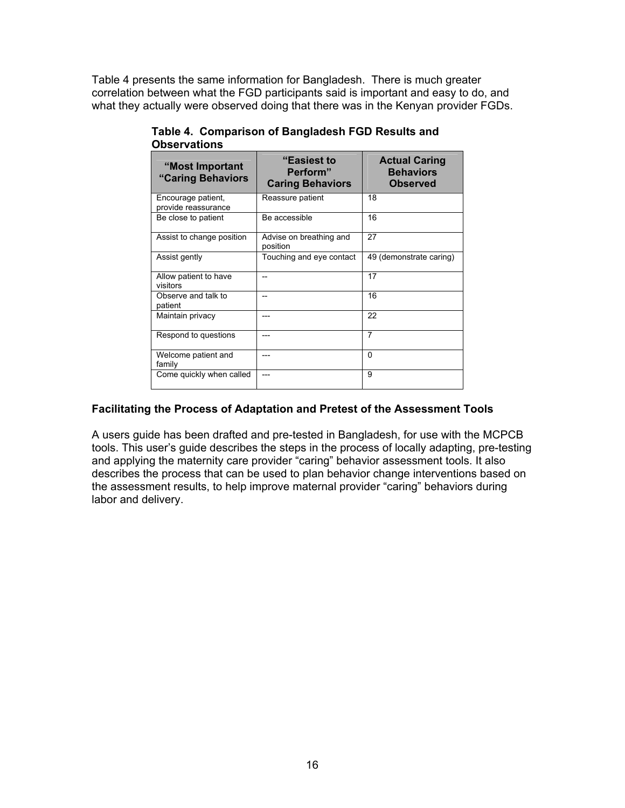Table 4 presents the same information for Bangladesh. There is much greater correlation between what the FGD participants said is important and easy to do, and what they actually were observed doing that there was in the Kenyan provider FGDs.

| "Most Important<br>"Caring Behaviors      | <b>"Easiest to</b><br><b>Actual Caring</b><br>Perform"<br><b>Behaviors</b><br><b>Caring Behaviors</b><br><b>Observed</b> |                         |
|-------------------------------------------|--------------------------------------------------------------------------------------------------------------------------|-------------------------|
| Encourage patient,<br>provide reassurance | Reassure patient                                                                                                         | 18                      |
| Be close to patient                       | Be accessible                                                                                                            | 16                      |
| Assist to change position                 | Advise on breathing and<br>position                                                                                      | 27                      |
| Assist gently                             | Touching and eye contact                                                                                                 | 49 (demonstrate caring) |
| Allow patient to have<br>visitors         |                                                                                                                          | 17                      |
| Observe and talk to<br>patient            | --                                                                                                                       | 16                      |
| Maintain privacy                          | ---                                                                                                                      | 22                      |
| Respond to questions                      | ---                                                                                                                      | 7                       |
| Welcome patient and<br>family             | ---                                                                                                                      | $\Omega$                |
| Come quickly when called                  |                                                                                                                          | 9                       |

**Table 4. Comparison of Bangladesh FGD Results and Observations** 

#### **Facilitating the Process of Adaptation and Pretest of the Assessment Tools**

A users guide has been drafted and pre-tested in Bangladesh, for use with the MCPCB tools. This user's guide describes the steps in the process of locally adapting, pre-testing and applying the maternity care provider "caring" behavior assessment tools. It also describes the process that can be used to plan behavior change interventions based on the assessment results, to help improve maternal provider "caring" behaviors during labor and delivery.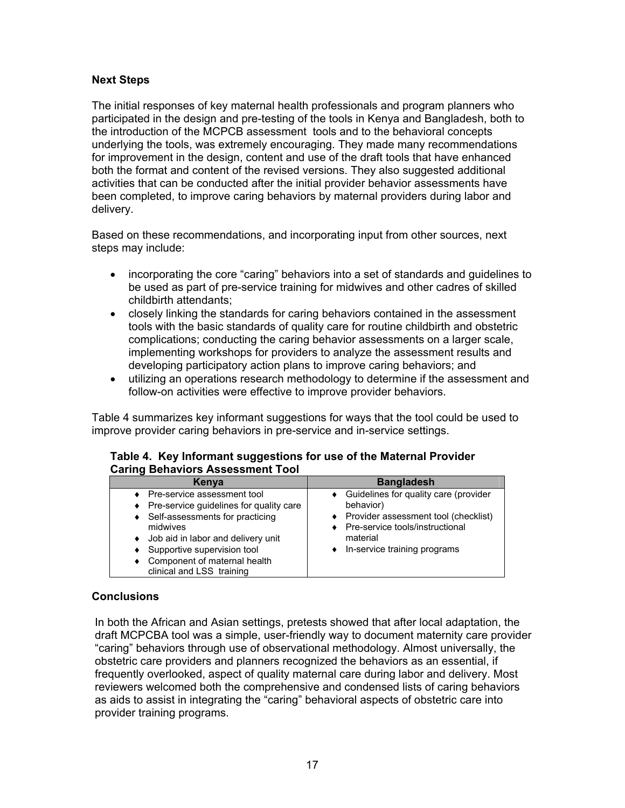### <span id="page-19-0"></span>**Next Steps**

The initial responses of key maternal health professionals and program planners who participated in the design and pre-testing of the tools in Kenya and Bangladesh, both to the introduction of the MCPCB assessment tools and to the behavioral concepts underlying the tools, was extremely encouraging. They made many recommendations for improvement in the design, content and use of the draft tools that have enhanced both the format and content of the revised versions. They also suggested additional activities that can be conducted after the initial provider behavior assessments have been completed, to improve caring behaviors by maternal providers during labor and delivery.

Based on these recommendations, and incorporating input from other sources, next steps may include:

- incorporating the core "caring" behaviors into a set of standards and guidelines to be used as part of pre-service training for midwives and other cadres of skilled childbirth attendants;
- closely linking the standards for caring behaviors contained in the assessment tools with the basic standards of quality care for routine childbirth and obstetric complications; conducting the caring behavior assessments on a larger scale, implementing workshops for providers to analyze the assessment results and developing participatory action plans to improve caring behaviors; and
- utilizing an operations research methodology to determine if the assessment and follow-on activities were effective to improve provider behaviors.

Table 4 summarizes key informant suggestions for ways that the tool could be used to improve provider caring behaviors in pre-service and in-service settings.

#### **Table 4. Key Informant suggestions for use of the Maternal Provider Caring Behaviors Assessment Tool**

| Kenva                                                                                                                                                                                      | <b>Bangladesh</b>                                                                                                                                                                         |
|--------------------------------------------------------------------------------------------------------------------------------------------------------------------------------------------|-------------------------------------------------------------------------------------------------------------------------------------------------------------------------------------------|
| Pre-service assessment tool<br>Pre-service guidelines for quality care<br>Self-assessments for practicing<br>midwives<br>Job aid in labor and delivery unit<br>Supportive supervision tool | • Guidelines for quality care (provider<br>behavior)<br>♦ Provider assessment tool (checklist)<br>♦ Pre-service tools/instructional<br>material<br>$\bullet$ In-service training programs |
| Component of maternal health<br>clinical and LSS training                                                                                                                                  |                                                                                                                                                                                           |

#### **Conclusions**

In both the African and Asian settings, pretests showed that after local adaptation, the draft MCPCBA tool was a simple, user-friendly way to document maternity care provider "caring" behaviors through use of observational methodology. Almost universally, the obstetric care providers and planners recognized the behaviors as an essential, if frequently overlooked, aspect of quality maternal care during labor and delivery. Most reviewers welcomed both the comprehensive and condensed lists of caring behaviors as aids to assist in integrating the "caring" behavioral aspects of obstetric care into provider training programs.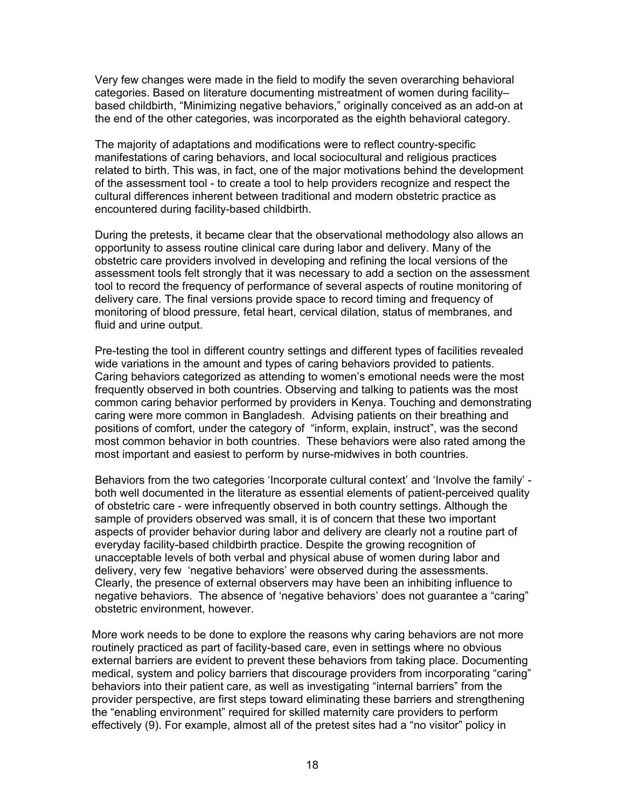Very few changes were made in the field to modify the seven overarching behavioral categories. Based on literature documenting mistreatment of women during facility– based childbirth, "Minimizing negative behaviors," originally conceived as an add-on at the end of the other categories, was incorporated as the eighth behavioral category.

The majority of adaptations and modifications were to reflect country-specific manifestations of caring behaviors, and local sociocultural and religious practices related to birth. This was, in fact, one of the major motivations behind the development of the assessment tool - to create a tool to help providers recognize and respect the cultural differences inherent between traditional and modern obstetric practice as encountered during facility-based childbirth.

During the pretests, it became clear that the observational methodology also allows an opportunity to assess routine clinical care during labor and delivery. Many of the obstetric care providers involved in developing and refining the local versions of the assessment tools felt strongly that it was necessary to add a section on the assessment tool to record the frequency of performance of several aspects of routine monitoring of delivery care. The final versions provide space to record timing and frequency of monitoring of blood pressure, fetal heart, cervical dilation, status of membranes, and fluid and urine output.

Pre-testing the tool in different country settings and different types of facilities revealed wide variations in the amount and types of caring behaviors provided to patients. Caring behaviors categorized as attending to women's emotional needs were the most frequently observed in both countries. Observing and talking to patients was the most common caring behavior performed by providers in Kenya. Touching and demonstrating caring were more common in Bangladesh. Advising patients on their breathing and positions of comfort, under the category of "inform, explain, instruct", was the second most common behavior in both countries. These behaviors were also rated among the most important and easiest to perform by nurse-midwives in both countries.

Behaviors from the two categories 'Incorporate cultural context' and 'Involve the family' both well documented in the literature as essential elements of patient-perceived quality of obstetric care - were infrequently observed in both country settings. Although the sample of providers observed was small, it is of concern that these two important aspects of provider behavior during labor and delivery are clearly not a routine part of everyday facility-based childbirth practice. Despite the growing recognition of unacceptable levels of both verbal and physical abuse of women during labor and delivery, very few 'negative behaviors' were observed during the assessments. Clearly, the presence of external observers may have been an inhibiting influence to negative behaviors. The absence of 'negative behaviors' does not guarantee a "caring" obstetric environment, however.

More work needs to be done to explore the reasons why caring behaviors are not more routinely practiced as part of facility-based care, even in settings where no obvious external barriers are evident to prevent these behaviors from taking place. Documenting medical, system and policy barriers that discourage providers from incorporating "caring" behaviors into their patient care, as well as investigating "internal barriers" from the provider perspective, are first steps toward eliminating these barriers and strengthening the "enabling environment" required for skilled maternity care providers to perform effectively (9). For example, almost all of the pretest sites had a "no visitor" policy in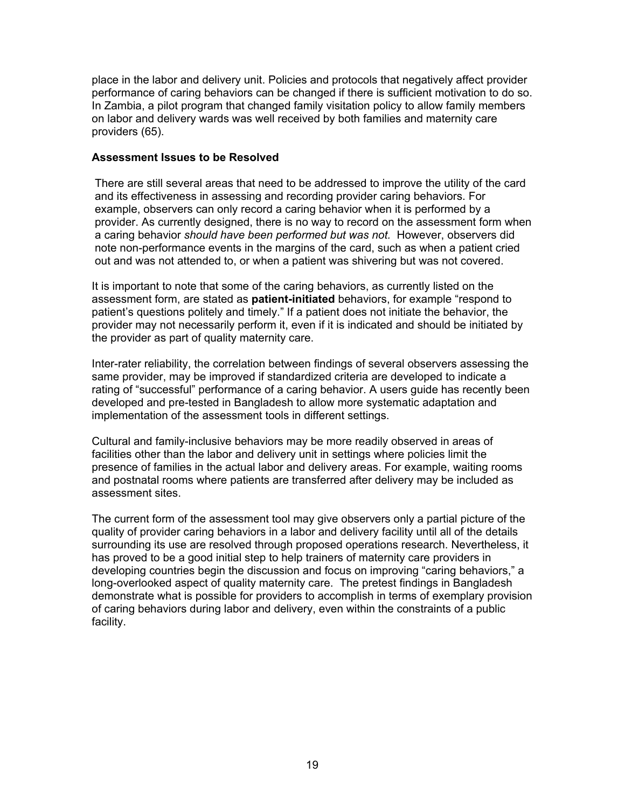place in the labor and delivery unit. Policies and protocols that negatively affect provider performance of caring behaviors can be changed if there is sufficient motivation to do so. In Zambia, a pilot program that changed family visitation policy to allow family members on labor and delivery wards was well received by both families and maternity care providers (65).

#### **Assessment Issues to be Resolved**

There are still several areas that need to be addressed to improve the utility of the card and its effectiveness in assessing and recording provider caring behaviors. For example, observers can only record a caring behavior when it is performed by a provider. As currently designed, there is no way to record on the assessment form when a caring behavior *should have been performed but was not.* However, observers did note non-performance events in the margins of the card, such as when a patient cried out and was not attended to, or when a patient was shivering but was not covered.

It is important to note that some of the caring behaviors, as currently listed on the assessment form, are stated as **patient-initiated** behaviors, for example "respond to patient's questions politely and timely." If a patient does not initiate the behavior, the provider may not necessarily perform it, even if it is indicated and should be initiated by the provider as part of quality maternity care.

Inter-rater reliability, the correlation between findings of several observers assessing the same provider, may be improved if standardized criteria are developed to indicate a rating of "successful" performance of a caring behavior. A users guide has recently been developed and pre-tested in Bangladesh to allow more systematic adaptation and implementation of the assessment tools in different settings.

Cultural and family-inclusive behaviors may be more readily observed in areas of facilities other than the labor and delivery unit in settings where policies limit the presence of families in the actual labor and delivery areas. For example, waiting rooms and postnatal rooms where patients are transferred after delivery may be included as assessment sites.

The current form of the assessment tool may give observers only a partial picture of the quality of provider caring behaviors in a labor and delivery facility until all of the details surrounding its use are resolved through proposed operations research. Nevertheless, it has proved to be a good initial step to help trainers of maternity care providers in developing countries begin the discussion and focus on improving "caring behaviors," a long-overlooked aspect of quality maternity care. The pretest findings in Bangladesh demonstrate what is possible for providers to accomplish in terms of exemplary provision of caring behaviors during labor and delivery, even within the constraints of a public facility.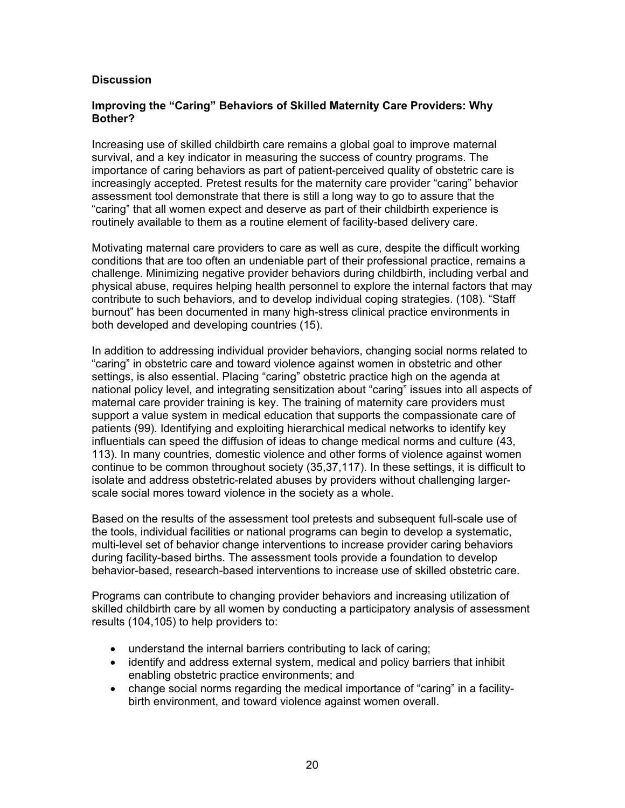#### <span id="page-22-0"></span>**Discussion**

#### **Improving the "Caring" Behaviors of Skilled Maternity Care Providers: Why Bother?**

Increasing use of skilled childbirth care remains a global goal to improve maternal survival, and a key indicator in measuring the success of country programs. The importance of caring behaviors as part of patient-perceived quality of obstetric care is increasingly accepted. Pretest results for the maternity care provider "caring" behavior assessment tool demonstrate that there is still a long way to go to assure that the "caring" that all women expect and deserve as part of their childbirth experience is routinely available to them as a routine element of facility-based delivery care.

Motivating maternal care providers to care as well as cure, despite the difficult working conditions that are too often an undeniable part of their professional practice, remains a challenge. Minimizing negative provider behaviors during childbirth, including verbal and physical abuse, requires helping health personnel to explore the internal factors that may contribute to such behaviors, and to develop individual coping strategies. (108). "Staff burnout" has been documented in many high-stress clinical practice environments in both developed and developing countries (15).

In addition to addressing individual provider behaviors, changing social norms related to "caring" in obstetric care and toward violence against women in obstetric and other settings, is also essential. Placing "caring" obstetric practice high on the agenda at national policy level, and integrating sensitization about "caring" issues into all aspects of maternal care provider training is key. The training of maternity care providers must support a value system in medical education that supports the compassionate care of patients (99). Identifying and exploiting hierarchical medical networks to identify key influentials can speed the diffusion of ideas to change medical norms and culture (43, 113). In many countries, domestic violence and other forms of violence against women continue to be common throughout society (35,37,117). In these settings, it is difficult to isolate and address obstetric-related abuses by providers without challenging largerscale social mores toward violence in the society as a whole.

Based on the results of the assessment tool pretests and subsequent full-scale use of the tools, individual facilities or national programs can begin to develop a systematic, multi-level set of behavior change interventions to increase provider caring behaviors during facility-based births. The assessment tools provide a foundation to develop behavior-based, research-based interventions to increase use of skilled obstetric care.

Programs can contribute to changing provider behaviors and increasing utilization of skilled childbirth care by all women by conducting a participatory analysis of assessment results (104,105) to help providers to:

- understand the internal barriers contributing to lack of caring;
- identify and address external system, medical and policy barriers that inhibit enabling obstetric practice environments; and
- change social norms regarding the medical importance of "caring" in a facilitybirth environment, and toward violence against women overall.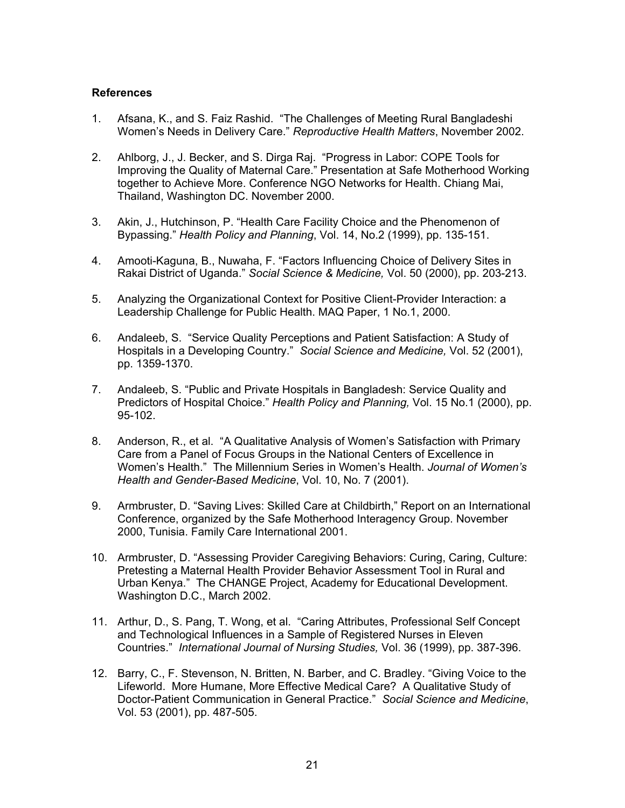#### <span id="page-23-0"></span>**References**

- 1. Afsana, K., and S. Faiz Rashid. "The Challenges of Meeting Rural Bangladeshi Women's Needs in Delivery Care." *Reproductive Health Matters*, November 2002.
- 2. Ahlborg, J., J. Becker, and S. Dirga Raj. "Progress in Labor: COPE Tools for Improving the Quality of Maternal Care." Presentation at Safe Motherhood Working together to Achieve More. Conference NGO Networks for Health. Chiang Mai, Thailand, Washington DC. November 2000.
- 3. Akin, J., Hutchinson, P. "Health Care Facility Choice and the Phenomenon of Bypassing." *Health Policy and Planning*, Vol. 14, No.2 (1999), pp. 135-151.
- 4. Amooti-Kaguna, B., Nuwaha, F. "Factors Influencing Choice of Delivery Sites in Rakai District of Uganda." *Social Science & Medicine,* Vol. 50 (2000), pp. 203-213.
- 5. Analyzing the Organizational Context for Positive Client-Provider Interaction: a Leadership Challenge for Public Health. MAQ Paper, 1 No.1, 2000.
- 6. Andaleeb, S. "Service Quality Perceptions and Patient Satisfaction: A Study of Hospitals in a Developing Country." *Social Science and Medicine,* Vol. 52 (2001), pp. 1359-1370.
- 7. Andaleeb, S. "Public and Private Hospitals in Bangladesh: Service Quality and Predictors of Hospital Choice." *Health Policy and Planning,* Vol. 15 No.1 (2000), pp. 95-102.
- 8. Anderson, R., et al. "A Qualitative Analysis of Women's Satisfaction with Primary Care from a Panel of Focus Groups in the National Centers of Excellence in Women's Health." The Millennium Series in Women's Health. *Journal of Women's Health and Gender-Based Medicine*, Vol. 10, No. 7 (2001).
- 9. Armbruster, D. "Saving Lives: Skilled Care at Childbirth," Report on an International Conference, organized by the Safe Motherhood Interagency Group. November 2000, Tunisia. Family Care International 2001.
- 10. Armbruster, D. "Assessing Provider Caregiving Behaviors: Curing, Caring, Culture: Pretesting a Maternal Health Provider Behavior Assessment Tool in Rural and Urban Kenya." The CHANGE Project, Academy for Educational Development. Washington D.C., March 2002.
- 11. Arthur, D., S. Pang, T. Wong, et al. "Caring Attributes, Professional Self Concept and Technological Influences in a Sample of Registered Nurses in Eleven Countries." *International Journal of Nursing Studies,* Vol. 36 (1999), pp. 387-396.
- 12. Barry, C., F. Stevenson, N. Britten, N. Barber, and C. Bradley. "Giving Voice to the Lifeworld. More Humane, More Effective Medical Care? A Qualitative Study of Doctor-Patient Communication in General Practice." *Social Science and Medicine*, Vol. 53 (2001), pp. 487-505.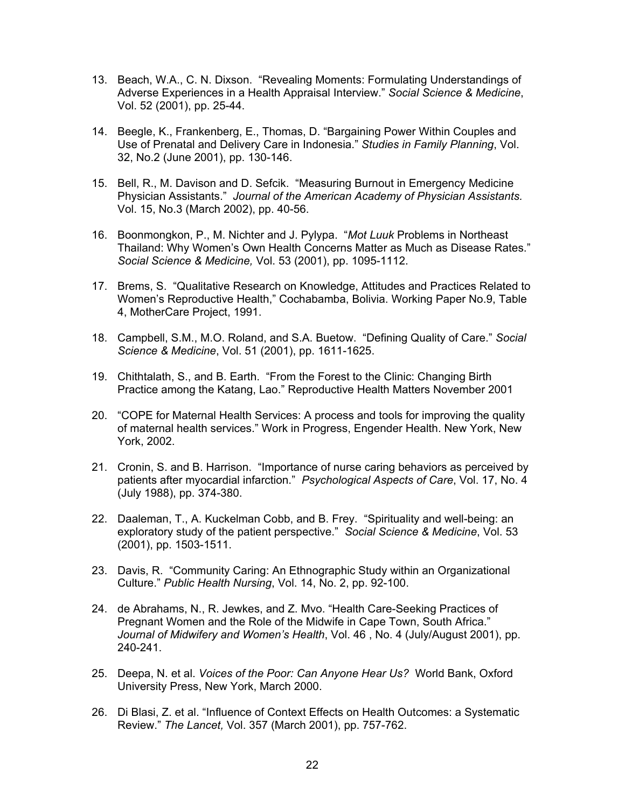- 13. Beach, W.A., C. N. Dixson. "Revealing Moments: Formulating Understandings of Adverse Experiences in a Health Appraisal Interview." *Social Science & Medicine*, Vol. 52 (2001), pp. 25-44.
- 14. Beegle, K., Frankenberg, E., Thomas, D. "Bargaining Power Within Couples and Use of Prenatal and Delivery Care in Indonesia." *Studies in Family Planning*, Vol. 32, No.2 (June 2001), pp. 130-146.
- 15. Bell, R., M. Davison and D. Sefcik. "Measuring Burnout in Emergency Medicine Physician Assistants." *Journal of the American Academy of Physician Assistants.*  Vol. 15, No.3 (March 2002), pp. 40-56.
- 16. Boonmongkon, P., M. Nichter and J. Pylypa. "*Mot Luuk* Problems in Northeast Thailand: Why Women's Own Health Concerns Matter as Much as Disease Rates." *Social Science & Medicine,* Vol. 53 (2001), pp. 1095-1112.
- 17. Brems, S. "Qualitative Research on Knowledge, Attitudes and Practices Related to Women's Reproductive Health," Cochabamba, Bolivia. Working Paper No.9, Table 4, MotherCare Project, 1991.
- 18. Campbell, S.M., M.O. Roland, and S.A. Buetow. "Defining Quality of Care." *Social Science & Medicine*, Vol. 51 (2001), pp. 1611-1625.
- 19. Chithtalath, S., and B. Earth. "From the Forest to the Clinic: Changing Birth Practice among the Katang, Lao." Reproductive Health Matters November 2001
- 20. "COPE for Maternal Health Services: A process and tools for improving the quality of maternal health services." Work in Progress, Engender Health. New York, New York, 2002.
- 21. Cronin, S. and B. Harrison. "Importance of nurse caring behaviors as perceived by patients after myocardial infarction." *Psychological Aspects of Care*, Vol. 17, No. 4 (July 1988), pp. 374-380.
- 22. Daaleman, T., A. Kuckelman Cobb, and B. Frey. "Spirituality and well-being: an exploratory study of the patient perspective." *Social Science & Medicine*, Vol. 53 (2001), pp. 1503-1511.
- 23. Davis, R. "Community Caring: An Ethnographic Study within an Organizational Culture." *Public Health Nursing*, Vol. 14, No. 2, pp. 92-100.
- 24. de Abrahams, N., R. Jewkes, and Z. Mvo. "Health Care-Seeking Practices of Pregnant Women and the Role of the Midwife in Cape Town, South Africa." *Journal of Midwifery and Women's Health*, Vol. 46 , No. 4 (July/August 2001), pp. 240-241.
- 25. Deepa, N. et al. *Voices of the Poor: Can Anyone Hear Us?* World Bank, Oxford University Press, New York, March 2000.
- 26. Di Blasi, Z. et al. "Influence of Context Effects on Health Outcomes: a Systematic Review." *The Lancet,* Vol. 357 (March 2001), pp. 757-762.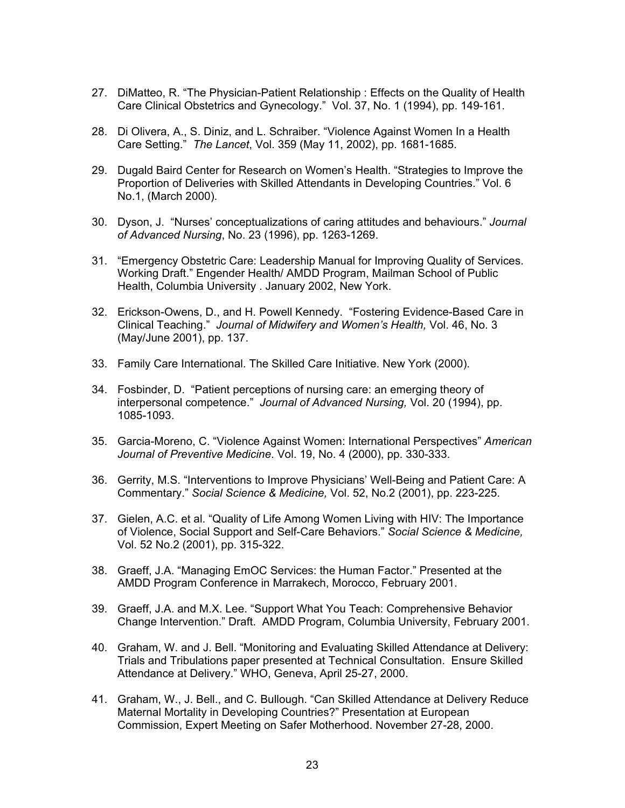- 27. DiMatteo, R. "The Physician-Patient Relationship : Effects on the Quality of Health Care Clinical Obstetrics and Gynecology." Vol. 37, No. 1 (1994), pp. 149-161.
- 28. Di Olivera, A., S. Diniz, and L. Schraiber. "Violence Against Women In a Health Care Setting." *The Lancet*, Vol. 359 (May 11, 2002), pp. 1681-1685.
- 29. Dugald Baird Center for Research on Women's Health. "Strategies to Improve the Proportion of Deliveries with Skilled Attendants in Developing Countries." Vol. 6 No.1, (March 2000).
- 30. Dyson, J. "Nurses' conceptualizations of caring attitudes and behaviours." *Journal of Advanced Nursing*, No. 23 (1996), pp. 1263-1269.
- 31. "Emergency Obstetric Care: Leadership Manual for Improving Quality of Services. Working Draft." Engender Health/ AMDD Program, Mailman School of Public Health, Columbia University . January 2002, New York.
- 32. Erickson-Owens, D., and H. Powell Kennedy. "Fostering Evidence-Based Care in Clinical Teaching." *Journal of Midwifery and Women's Health,* Vol. 46, No. 3 (May/June 2001), pp. 137.
- 33. Family Care International. The Skilled Care Initiative. New York (2000).
- 34. Fosbinder, D. "Patient perceptions of nursing care: an emerging theory of interpersonal competence." *Journal of Advanced Nursing,* Vol. 20 (1994), pp. 1085-1093.
- 35. Garcia-Moreno, C. "Violence Against Women: International Perspectives" *American Journal of Preventive Medicine*. Vol. 19, No. 4 (2000), pp. 330-333.
- 36. Gerrity, M.S. "Interventions to Improve Physicians' Well-Being and Patient Care: A Commentary." *Social Science & Medicine,* Vol. 52, No.2 (2001), pp. 223-225.
- 37. Gielen, A.C. et al. "Quality of Life Among Women Living with HIV: The Importance of Violence, Social Support and Self-Care Behaviors." *Social Science & Medicine,*  Vol. 52 No.2 (2001), pp. 315-322.
- 38. Graeff, J.A. "Managing EmOC Services: the Human Factor." Presented at the AMDD Program Conference in Marrakech, Morocco, February 2001.
- 39. Graeff, J.A. and M.X. Lee. "Support What You Teach: Comprehensive Behavior Change Intervention." Draft. AMDD Program, Columbia University, February 2001.
- 40. Graham, W. and J. Bell. "Monitoring and Evaluating Skilled Attendance at Delivery: Trials and Tribulations paper presented at Technical Consultation. Ensure Skilled Attendance at Delivery." WHO, Geneva, April 25-27, 2000.
- 41. Graham, W., J. Bell., and C. Bullough. "Can Skilled Attendance at Delivery Reduce Maternal Mortality in Developing Countries?" Presentation at European Commission, Expert Meeting on Safer Motherhood. November 27-28, 2000.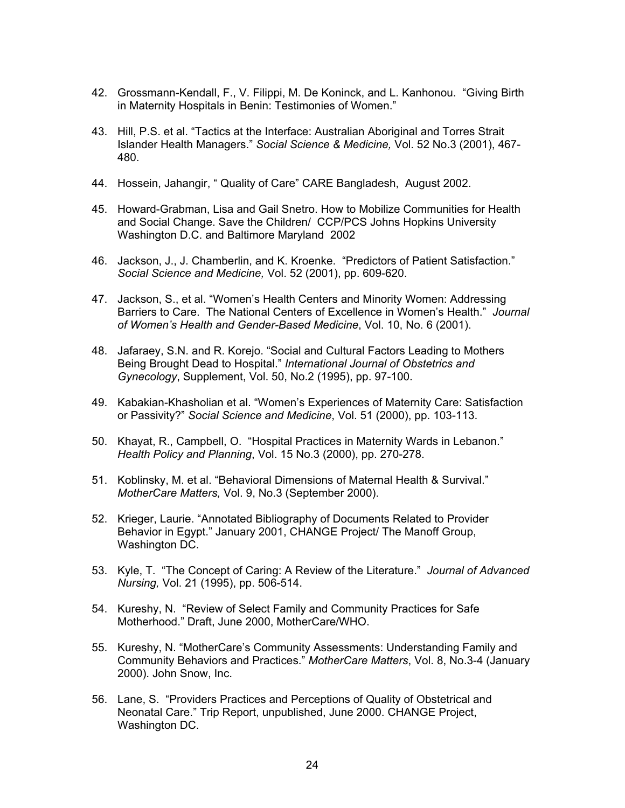- 42. Grossmann-Kendall, F., V. Filippi, M. De Koninck, and L. Kanhonou. "Giving Birth in Maternity Hospitals in Benin: Testimonies of Women."
- 43. Hill, P.S. et al. "Tactics at the Interface: Australian Aboriginal and Torres Strait Islander Health Managers." *Social Science & Medicine,* Vol. 52 No.3 (2001), 467- 480.
- 44. Hossein, Jahangir, " Quality of Care" CARE Bangladesh, August 2002.
- 45. Howard-Grabman, Lisa and Gail Snetro. How to Mobilize Communities for Health and Social Change. Save the Children/ CCP/PCS Johns Hopkins University Washington D.C. and Baltimore Maryland 2002
- 46. Jackson, J., J. Chamberlin, and K. Kroenke. "Predictors of Patient Satisfaction." *Social Science and Medicine,* Vol. 52 (2001), pp. 609-620.
- 47. Jackson, S., et al. "Women's Health Centers and Minority Women: Addressing Barriers to Care. The National Centers of Excellence in Women's Health." *Journal of Women's Health and Gender-Based Medicine*, Vol. 10, No. 6 (2001).
- 48. Jafaraey, S.N. and R. Korejo. "Social and Cultural Factors Leading to Mothers Being Brought Dead to Hospital." *International Journal of Obstetrics and Gynecology*, Supplement, Vol. 50, No.2 (1995), pp. 97-100.
- 49. Kabakian-Khasholian et al. "Women's Experiences of Maternity Care: Satisfaction or Passivity?" *Social Science and Medicine*, Vol. 51 (2000), pp. 103-113.
- 50. Khayat, R., Campbell, O. "Hospital Practices in Maternity Wards in Lebanon." *Health Policy and Planning*, Vol. 15 No.3 (2000), pp. 270-278.
- 51. Koblinsky, M. et al. "Behavioral Dimensions of Maternal Health & Survival." *MotherCare Matters,* Vol. 9, No.3 (September 2000).
- 52. Krieger, Laurie. "Annotated Bibliography of Documents Related to Provider Behavior in Egypt." January 2001, CHANGE Project/ The Manoff Group, Washington DC.
- 53. Kyle, T. "The Concept of Caring: A Review of the Literature." *Journal of Advanced Nursing,* Vol. 21 (1995), pp. 506-514.
- 54. Kureshy, N. "Review of Select Family and Community Practices for Safe Motherhood." Draft, June 2000, MotherCare/WHO.
- 55. Kureshy, N. "MotherCare's Community Assessments: Understanding Family and Community Behaviors and Practices." *MotherCare Matters*, Vol. 8, No.3-4 (January 2000). John Snow, Inc.
- 56. Lane, S. "Providers Practices and Perceptions of Quality of Obstetrical and Neonatal Care." Trip Report, unpublished, June 2000. CHANGE Project, Washington DC.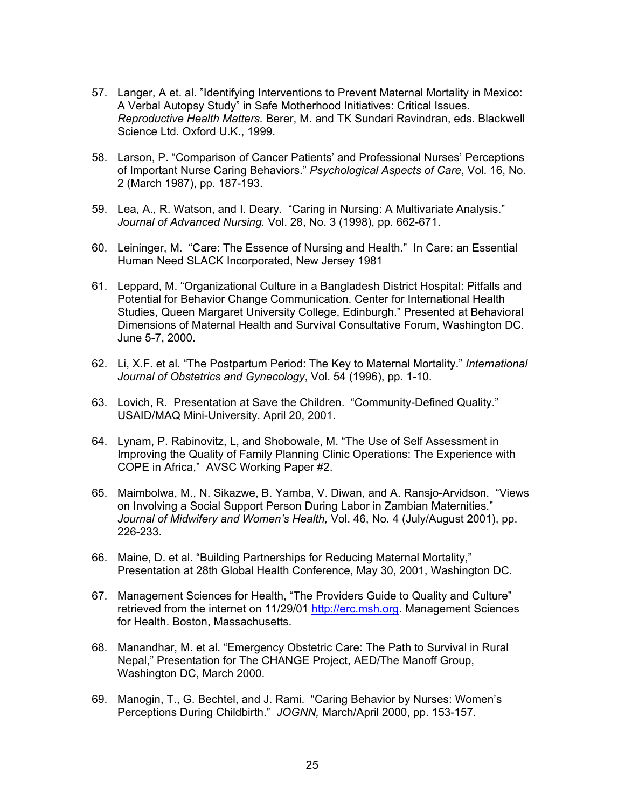- 57. Langer, A et. al. "Identifying Interventions to Prevent Maternal Mortality in Mexico: A Verbal Autopsy Study" in Safe Motherhood Initiatives: Critical Issues. *Reproductive Health Matters.* Berer, M. and TK Sundari Ravindran, eds. Blackwell Science Ltd. Oxford U.K., 1999.
- 58. Larson, P. "Comparison of Cancer Patients' and Professional Nurses' Perceptions of Important Nurse Caring Behaviors." *Psychological Aspects of Care*, Vol. 16, No. 2 (March 1987), pp. 187-193.
- 59. Lea, A., R. Watson, and I. Deary. "Caring in Nursing: A Multivariate Analysis." *J*o*urnal of Advanced Nursing.* Vol. 28, No. 3 (1998), pp. 662-671.
- 60. Leininger, M. "Care: The Essence of Nursing and Health." In Care: an Essential Human Need SLACK Incorporated, New Jersey 1981
- 61. Leppard, M. "Organizational Culture in a Bangladesh District Hospital: Pitfalls and Potential for Behavior Change Communication. Center for International Health Studies, Queen Margaret University College, Edinburgh." Presented at Behavioral Dimensions of Maternal Health and Survival Consultative Forum, Washington DC. June 5-7, 2000.
- 62. Li, X.F. et al. "The Postpartum Period: The Key to Maternal Mortality." *International Journal of Obstetrics and Gynecology*, Vol. 54 (1996), pp. 1-10.
- 63. Lovich, R. Presentation at Save the Children. "Community-Defined Quality." USAID/MAQ Mini-University. April 20, 2001.
- 64. Lynam, P. Rabinovitz, L, and Shobowale, M. "The Use of Self Assessment in Improving the Quality of Family Planning Clinic Operations: The Experience with COPE in Africa," AVSC Working Paper #2.
- 65. Maimbolwa, M., N. Sikazwe, B. Yamba, V. Diwan, and A. Ransjo-Arvidson. "Views on Involving a Social Support Person During Labor in Zambian Maternities." *Journal of Midwifery and Women's Health,* Vol. 46, No. 4 (July/August 2001), pp. 226-233.
- 66. Maine, D. et al. "Building Partnerships for Reducing Maternal Mortality," Presentation at 28th Global Health Conference, May 30, 2001, Washington DC.
- 67. Management Sciences for Health, "The Providers Guide to Quality and Culture" retrieved from the internet on 11/29/01 [http://erc.msh.org.](http://erc.msh.org/) Management Sciences for Health. Boston, Massachusetts.
- 68. Manandhar, M. et al. "Emergency Obstetric Care: The Path to Survival in Rural Nepal," Presentation for The CHANGE Project, AED/The Manoff Group, Washington DC, March 2000.
- 69. Manogin, T., G. Bechtel, and J. Rami. "Caring Behavior by Nurses: Women's Perceptions During Childbirth." *JOGNN,* March/April 2000, pp. 153-157.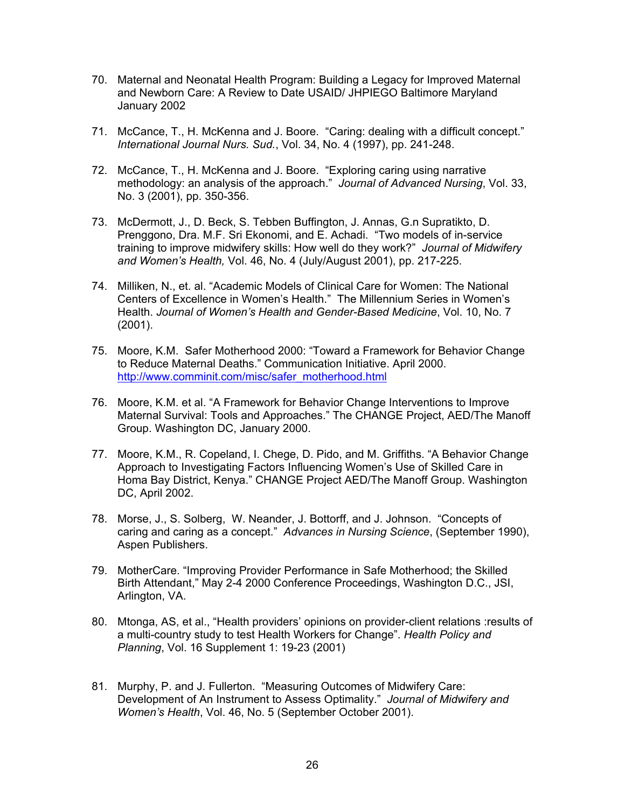- 70. Maternal and Neonatal Health Program: Building a Legacy for Improved Maternal and Newborn Care: A Review to Date USAID/ JHPIEGO Baltimore Maryland January 2002
- 71. McCance, T., H. McKenna and J. Boore. "Caring: dealing with a difficult concept." *International Journal Nurs. Sud.*, Vol. 34, No. 4 (1997), pp. 241-248.
- 72. McCance, T., H. McKenna and J. Boore. "Exploring caring using narrative methodology: an analysis of the approach." *Journal of Advanced Nursing*, Vol. 33, No. 3 (2001), pp. 350-356.
- 73. McDermott, J., D. Beck, S. Tebben Buffington, J. Annas, G.n Supratikto, D. Prenggono, Dra. M.F. Sri Ekonomi, and E. Achadi. "Two models of in-service training to improve midwifery skills: How well do they work?" *Journal of Midwifery and Women's Health,* Vol. 46, No. 4 (July/August 2001), pp. 217-225.
- 74. Milliken, N., et. al. "Academic Models of Clinical Care for Women: The National Centers of Excellence in Women's Health." The Millennium Series in Women's Health. *Journal of Women's Health and Gender-Based Medicine*, Vol. 10, No. 7 (2001).
- 75. Moore, K.M. Safer Motherhood 2000: "Toward a Framework for Behavior Change to Reduce Maternal Deaths." Communication Initiative. April 2000. [http://www.comminit.com/misc/safer\\_motherhood.html](http://www.comminit.com/misc/safer_motherhood.html)
- 76. Moore, K.M. et al. "A Framework for Behavior Change Interventions to Improve Maternal Survival: Tools and Approaches." The CHANGE Project, AED/The Manoff Group. Washington DC, January 2000.
- 77. Moore, K.M., R. Copeland, I. Chege, D. Pido, and M. Griffiths. "A Behavior Change Approach to Investigating Factors Influencing Women's Use of Skilled Care in Homa Bay District, Kenya." CHANGE Project AED/The Manoff Group. Washington DC, April 2002.
- 78. Morse, J., S. Solberg, W. Neander, J. Bottorff, and J. Johnson. "Concepts of caring and caring as a concept." *Advances in Nursing Science*, (September 1990), Aspen Publishers.
- 79. MotherCare. "Improving Provider Performance in Safe Motherhood; the Skilled Birth Attendant," May 2-4 2000 Conference Proceedings, Washington D.C., JSI, Arlington, VA.
- 80. Mtonga, AS, et al., "Health providers' opinions on provider-client relations :results of a multi-country study to test Health Workers for Change". *Health Policy and Planning*, Vol. 16 Supplement 1: 19-23 (2001)
- 81. Murphy, P. and J. Fullerton. "Measuring Outcomes of Midwifery Care: Development of An Instrument to Assess Optimality." *Journal of Midwifery and Women's Health*, Vol. 46, No. 5 (September October 2001).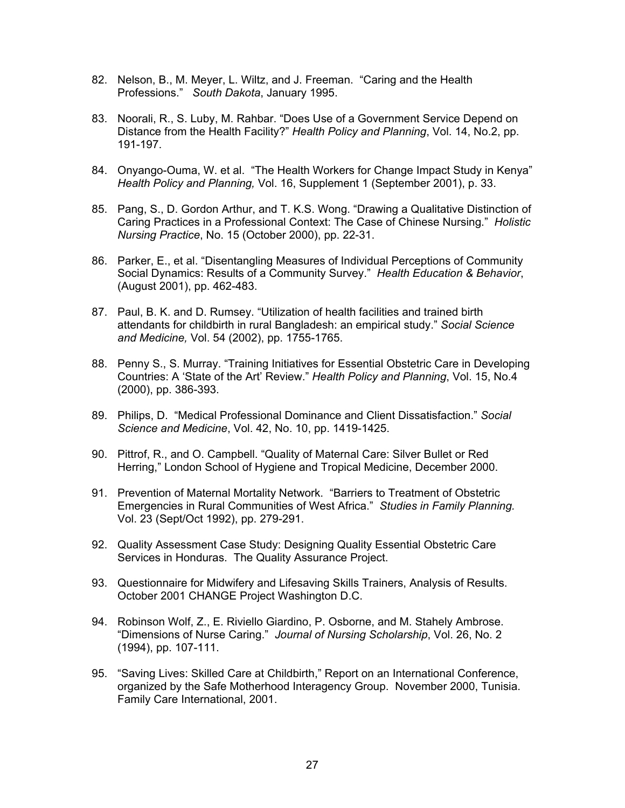- 82. Nelson, B., M. Meyer, L. Wiltz, and J. Freeman. "Caring and the Health Professions." *South Dakota*, January 1995.
- 83. Noorali, R., S. Luby, M. Rahbar. "Does Use of a Government Service Depend on Distance from the Health Facility?" *Health Policy and Planning*, Vol. 14, No.2, pp. 191-197.
- 84. Onyango-Ouma, W. et al. "The Health Workers for Change Impact Study in Kenya" *Health Policy and Planning,* Vol. 16, Supplement 1 (September 2001), p. 33.
- 85. Pang, S., D. Gordon Arthur, and T. K.S. Wong. "Drawing a Qualitative Distinction of Caring Practices in a Professional Context: The Case of Chinese Nursing." *Holistic Nursing Practice*, No. 15 (October 2000), pp. 22-31.
- 86. Parker, E., et al. "Disentangling Measures of Individual Perceptions of Community Social Dynamics: Results of a Community Survey." *Health Education & Behavior*, (August 2001), pp. 462-483.
- 87. Paul, B. K. and D. Rumsey. "Utilization of health facilities and trained birth attendants for childbirth in rural Bangladesh: an empirical study." *Social Science and Medicine,* Vol. 54 (2002), pp. 1755-1765.
- 88. Penny S., S. Murray. "Training Initiatives for Essential Obstetric Care in Developing Countries: A 'State of the Art' Review." *Health Policy and Planning*, Vol. 15, No.4 (2000), pp. 386-393.
- 89. Philips, D. "Medical Professional Dominance and Client Dissatisfaction." *Social Science and Medicine*, Vol. 42, No. 10, pp. 1419-1425.
- 90. Pittrof, R., and O. Campbell. "Quality of Maternal Care: Silver Bullet or Red Herring," London School of Hygiene and Tropical Medicine, December 2000.
- 91. Prevention of Maternal Mortality Network. "Barriers to Treatment of Obstetric Emergencies in Rural Communities of West Africa." *Studies in Family Planning.* Vol. 23 (Sept/Oct 1992), pp. 279-291.
- 92. Quality Assessment Case Study: Designing Quality Essential Obstetric Care Services in Honduras. The Quality Assurance Project.
- 93. Questionnaire for Midwifery and Lifesaving Skills Trainers, Analysis of Results. October 2001 CHANGE Project Washington D.C.
- 94. Robinson Wolf, Z., E. Riviello Giardino, P. Osborne, and M. Stahely Ambrose. "Dimensions of Nurse Caring." *Journal of Nursing Scholarship*, Vol. 26, No. 2 (1994), pp. 107-111.
- 95. "Saving Lives: Skilled Care at Childbirth," Report on an International Conference, organized by the Safe Motherhood Interagency Group. November 2000, Tunisia. Family Care International, 2001.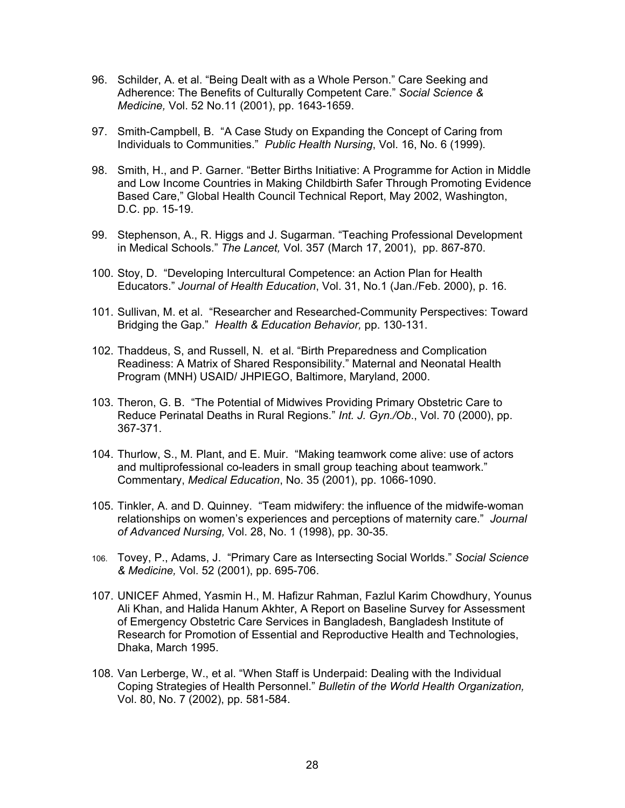- 96. Schilder, A. et al. "Being Dealt with as a Whole Person." Care Seeking and Adherence: The Benefits of Culturally Competent Care." *Social Science & Medicine,* Vol. 52 No.11 (2001), pp. 1643-1659.
- 97. Smith-Campbell, B. "A Case Study on Expanding the Concept of Caring from Individuals to Communities." *Public Health Nursing*, Vol. 16, No. 6 (1999).
- 98. Smith, H., and P. Garner. "Better Births Initiative: A Programme for Action in Middle and Low Income Countries in Making Childbirth Safer Through Promoting Evidence Based Care," Global Health Council Technical Report, May 2002, Washington, D.C. pp. 15-19.
- 99. Stephenson, A., R. Higgs and J. Sugarman. "Teaching Professional Development in Medical Schools." *The Lancet,* Vol. 357 (March 17, 2001), pp. 867-870.
- 100. Stoy, D. "Developing Intercultural Competence: an Action Plan for Health Educators." *Journal of Health Education*, Vol. 31, No.1 (Jan./Feb. 2000), p. 16.
- 101. Sullivan, M. et al. "Researcher and Researched-Community Perspectives: Toward Bridging the Gap." *Health & Education Behavior,* pp. 130-131.
- 102. Thaddeus, S, and Russell, N. et al. "Birth Preparedness and Complication Readiness: A Matrix of Shared Responsibility." Maternal and Neonatal Health Program (MNH) USAID/ JHPIEGO, Baltimore, Maryland, 2000.
- 103. Theron, G. B. "The Potential of Midwives Providing Primary Obstetric Care to Reduce Perinatal Deaths in Rural Regions." *Int. J. Gyn./Ob*., Vol. 70 (2000), pp. 367-371.
- 104. Thurlow, S., M. Plant, and E. Muir. "Making teamwork come alive: use of actors and multiprofessional co-leaders in small group teaching about teamwork." Commentary, *Medical Education*, No. 35 (2001), pp. 1066-1090.
- 105. Tinkler, A. and D. Quinney. "Team midwifery: the influence of the midwife-woman relationships on women's experiences and perceptions of maternity care." *Journal of Advanced Nursing,* Vol. 28, No. 1 (1998), pp. 30-35.
- 106. Tovey, P., Adams, J. "Primary Care as Intersecting Social Worlds." *Social Science & Medicine,* Vol. 52 (2001), pp. 695-706.
- 107. UNICEF Ahmed, Yasmin H., M. Hafizur Rahman, Fazlul Karim Chowdhury, Younus Ali Khan, and Halida Hanum Akhter, A Report on Baseline Survey for Assessment of Emergency Obstetric Care Services in Bangladesh, Bangladesh Institute of Research for Promotion of Essential and Reproductive Health and Technologies, Dhaka, March 1995.
- 108. Van Lerberge, W., et al. "When Staff is Underpaid: Dealing with the Individual Coping Strategies of Health Personnel." *Bulletin of the World Health Organization,*  Vol. 80, No. 7 (2002), pp. 581-584.